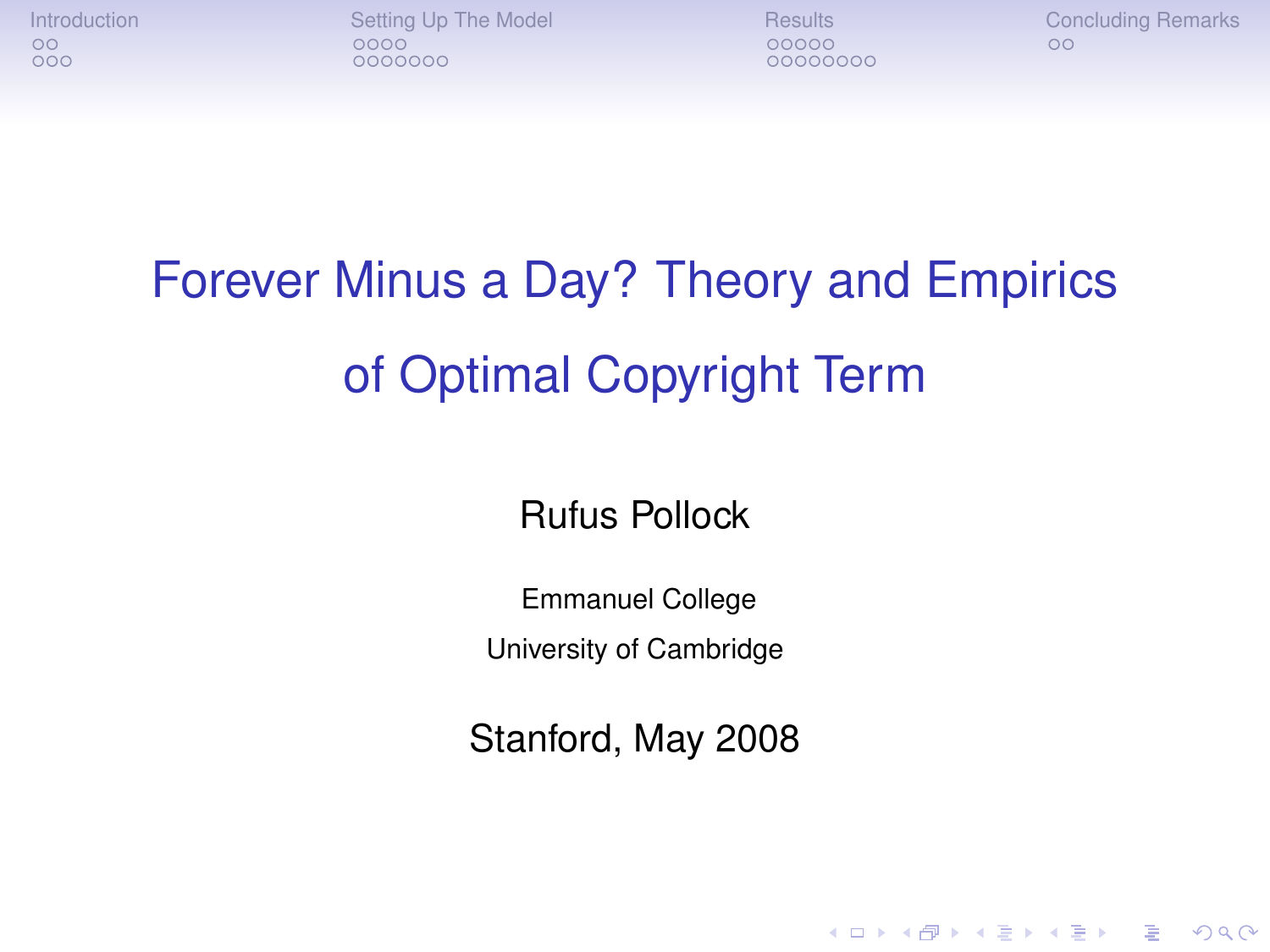[Introduction](#page-1-0) [Setting Up The Model](#page-6-0) [Results](#page-18-0) [Concluding Remarks](#page-31-0)<br>  $\begin{array}{ccc}\n0 & 0 & 0 \\
0 & 0 & 0 \\
0 & 0 & 0\n\end{array}$ 0000000

00000000

**KORKARYKERKE PORCH** 

### Forever Minus a Day? Theory and Empirics of Optimal Copyright Term

Rufus Pollock

Emmanuel College

University of Cambridge

Stanford, May 2008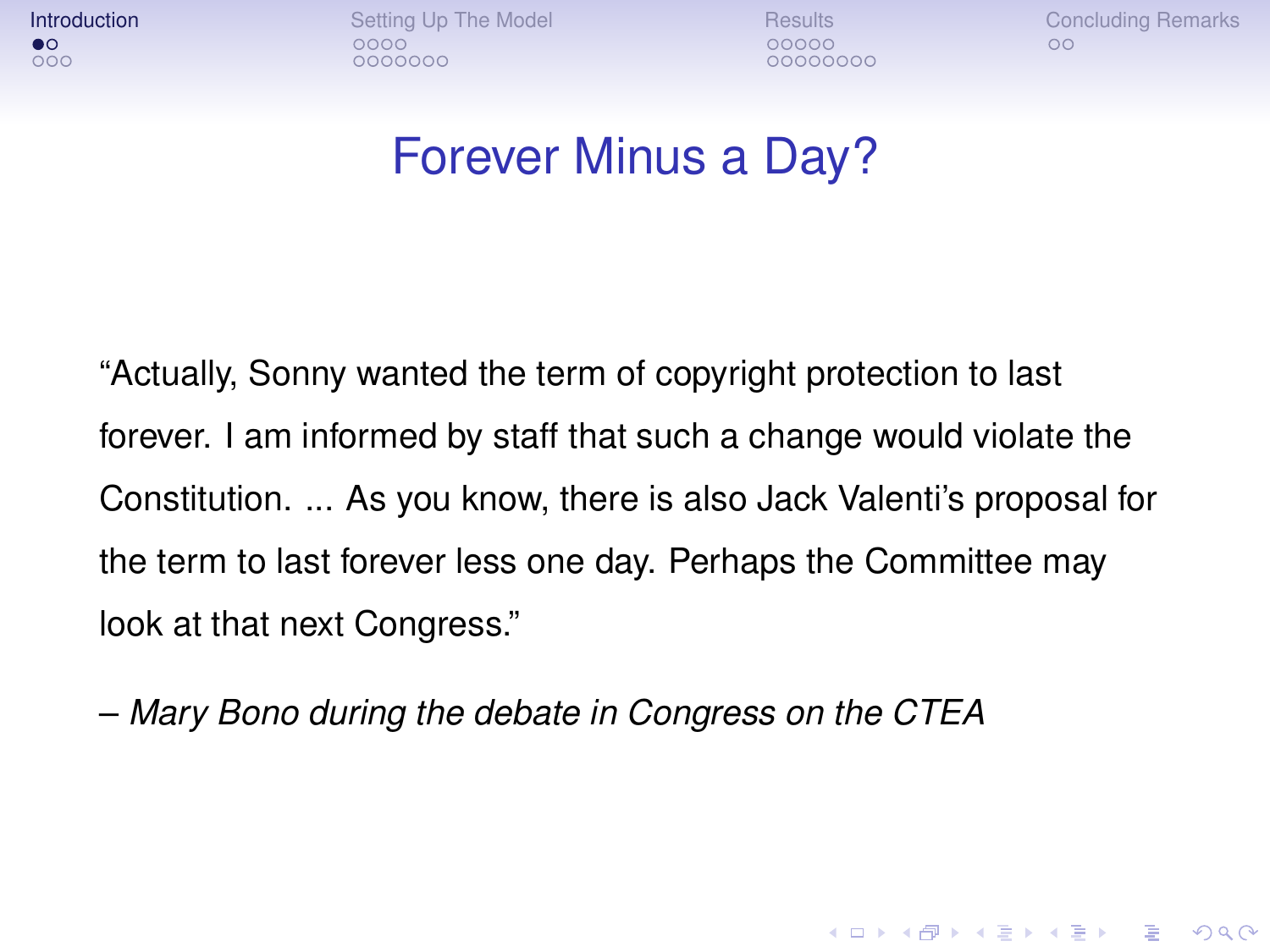**[Introduction](#page-1-0)**<br>
Introduction [Setting Up The Model](#page-6-0) [Results](#page-18-0) [Concluding Remarks](#page-31-0)<br> **● OOOOO** OOO  $0000000$ 

00000000

**KOD CONTRACT A BOAR KOD A CO** 

#### Forever Minus a Day?

"Actually, Sonny wanted the term of copyright protection to last forever. I am informed by staff that such a change would violate the Constitution. ... As you know, there is also Jack Valenti's proposal for the term to last forever less one day. Perhaps the Committee may look at that next Congress."

<span id="page-1-0"></span>– *Mary Bono during the debate in Congress on the CTEA*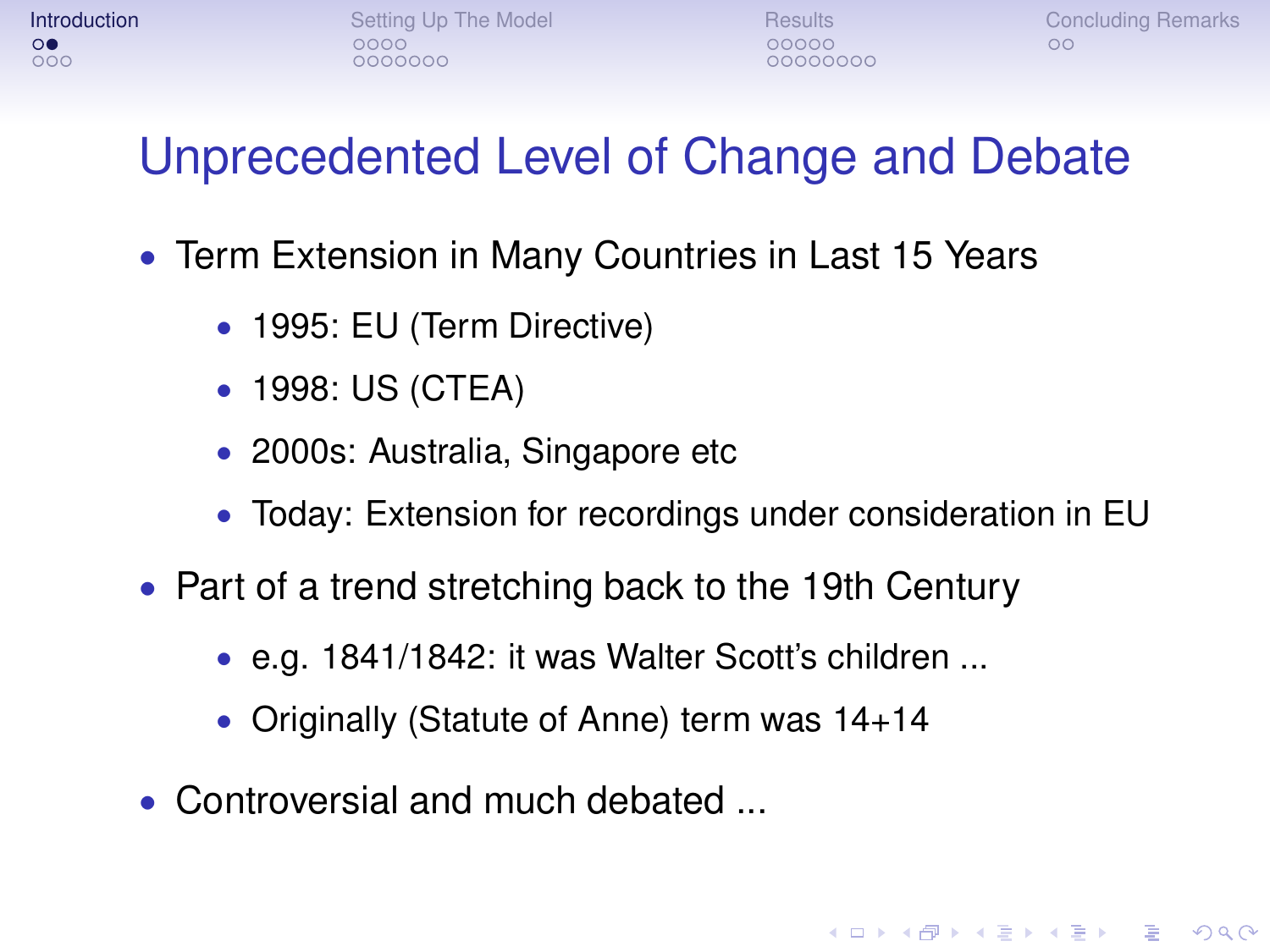**KOD CONTRACT A BOAR KOD A CO** 

#### Unprecedented Level of Change and Debate

- Term Extension in Many Countries in Last 15 Years
	- 1995: EU (Term Directive)
	- 1998: US (CTEA)
	- 2000s: Australia, Singapore etc
	- Today: Extension for recordings under consideration in EU
- Part of a trend stretching back to the 19th Century
	- e.g. 1841/1842: it was Walter Scott's children ...
	- Originally (Statute of Anne) term was 14+14
- Controversial and much debated ...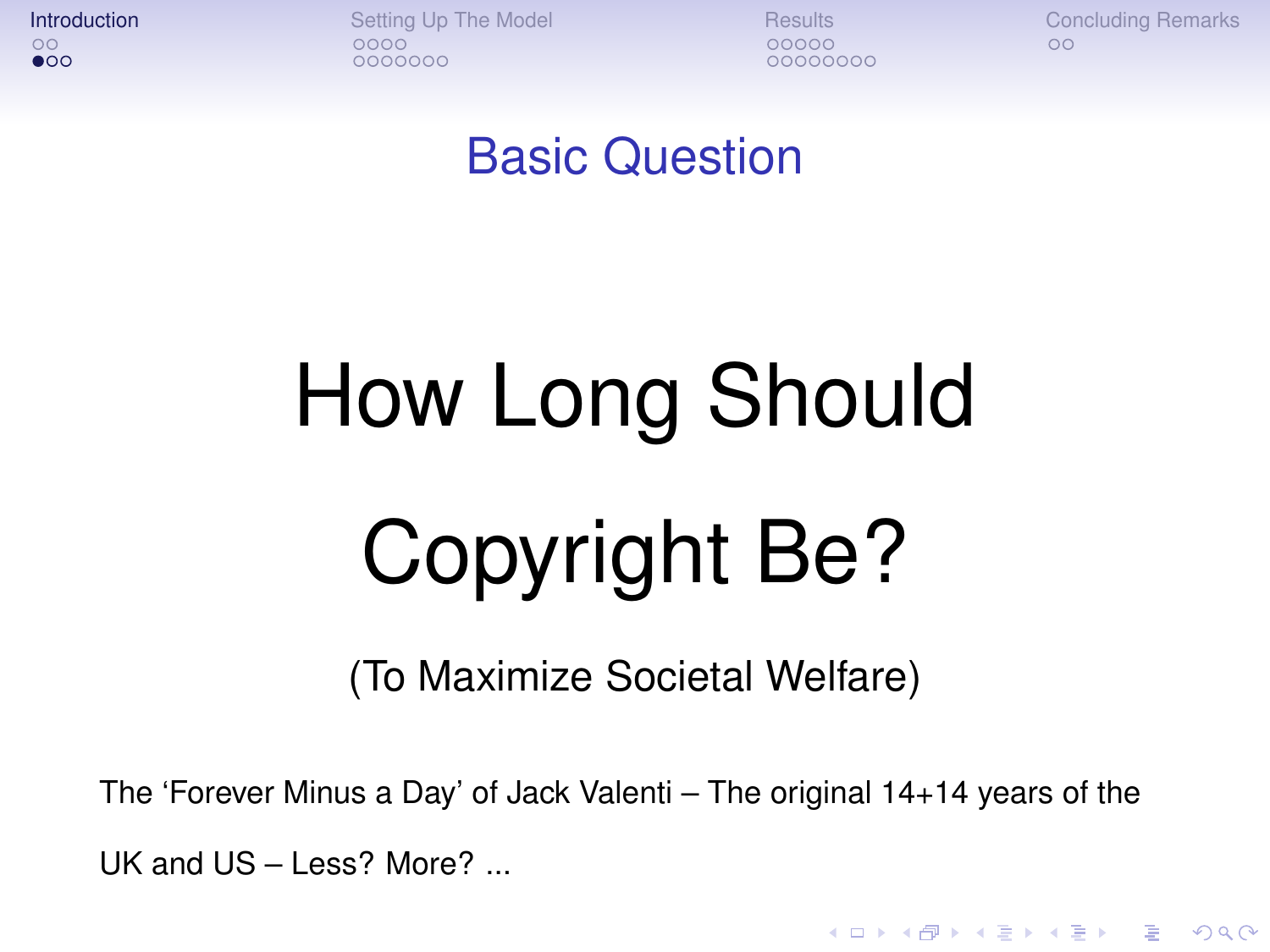$\bullet$ 00

**[Introduction](#page-1-0) [Setting Up The Model](#page-6-0) [Results](#page-18-0) [Concluding Remarks](#page-31-0)** Concluding Remarks  $0000000$ 

00000000

**KOD CONTRACT A BOAR KOD A CO** 

#### Basic Question

# How Long Should Copyright Be?

(To Maximize Societal Welfare)

The 'Forever Minus a Day' of Jack Valenti – The original 14+14 years of the UK and US – Less? More? ...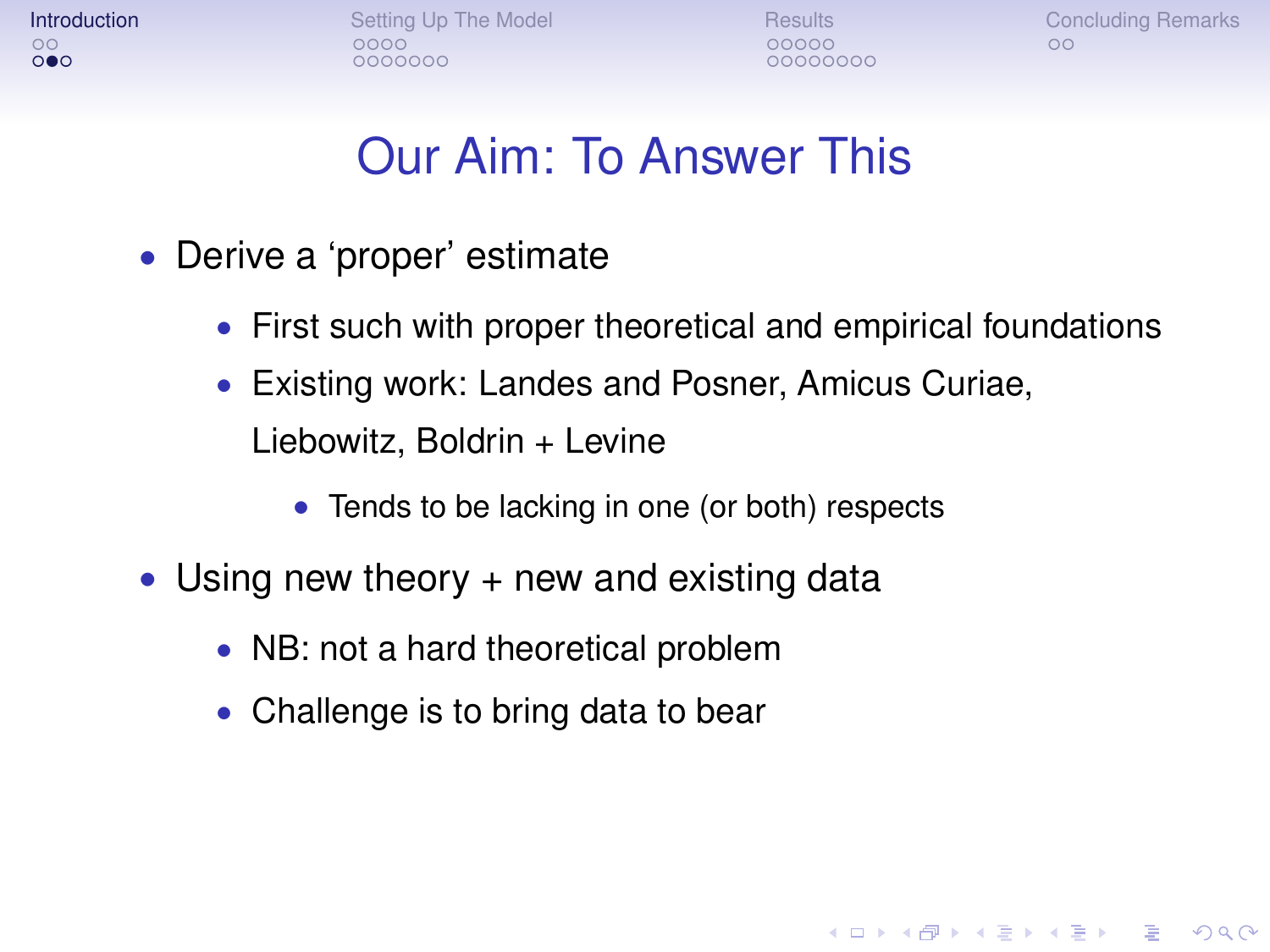**[Introduction](#page-1-0) [Setting Up The Model](#page-6-0) [Results](#page-18-0) [Concluding Remarks](#page-31-0)** Concluding Remarks

**KOD CONTRACT A BOAR KOD A CO** 

#### Our Aim: To Answer This

- Derive a 'proper' estimate
	- First such with proper theoretical and empirical foundations
	- Existing work: Landes and Posner, Amicus Curiae, Liebowitz, Boldrin + Levine
		- Tends to be lacking in one (or both) respects
- Using new theory  $+$  new and existing data
	- NB: not a hard theoretical problem
	- Challenge is to bring data to bear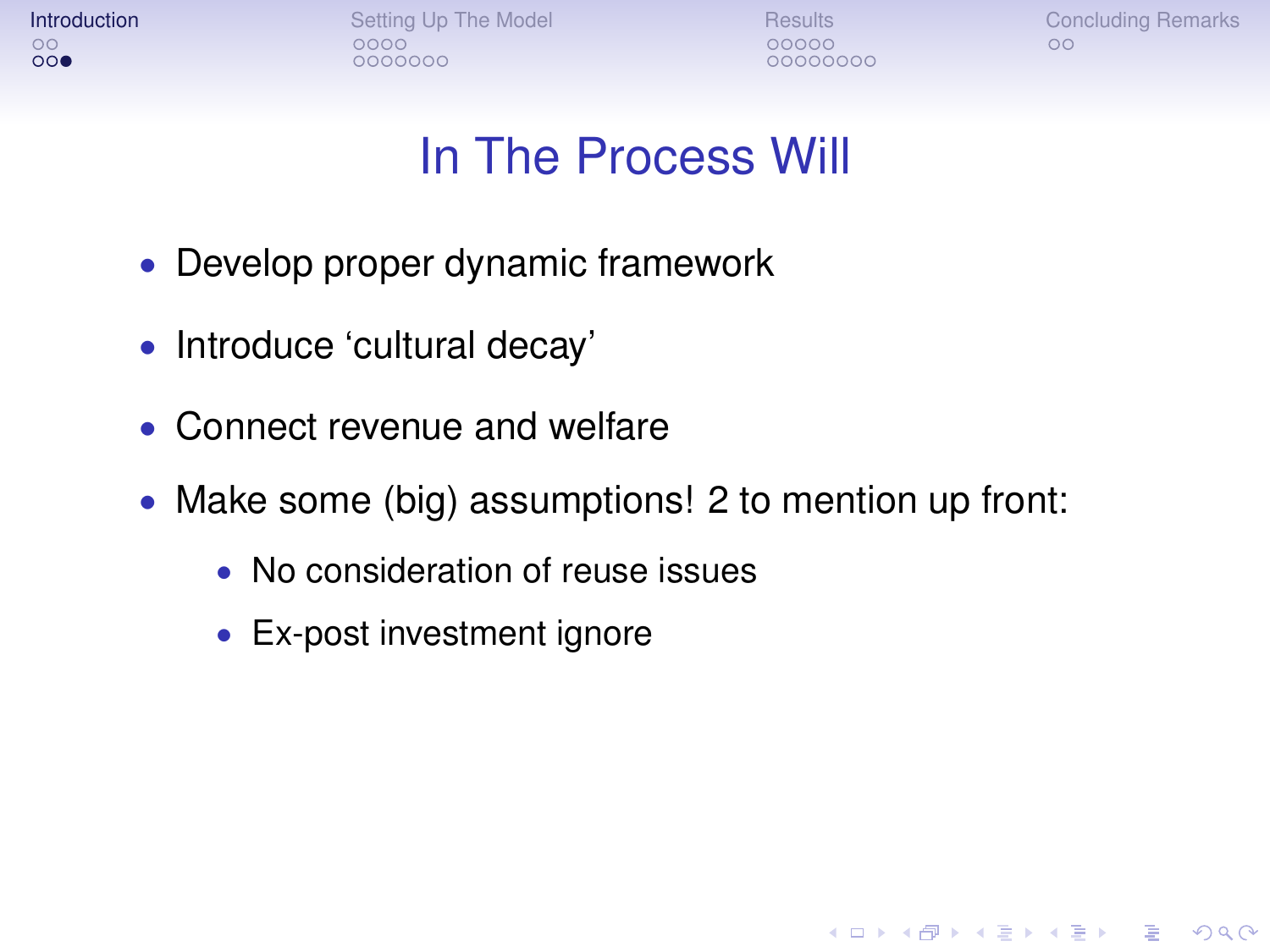| Introduction |  |
|--------------|--|
| $\circ$      |  |
| 000          |  |

**Intervention [Setting Up The Model](#page-6-0) [Results](#page-18-0) [Concluding Remarks](#page-31-0)**<br>  $\begin{array}{ccc}\n0 & 0 & 0 \\
0 & 0 & 0\n\end{array}$  $0000000$ 

00000000

**KOD CONTRACT A BOAR KOD A CO** 

#### In The Process Will

- Develop proper dynamic framework
- Introduce 'cultural decay'
- Connect revenue and welfare
- Make some (big) assumptions! 2 to mention up front:
	- No consideration of reuse issues
	- Ex-post investment ignore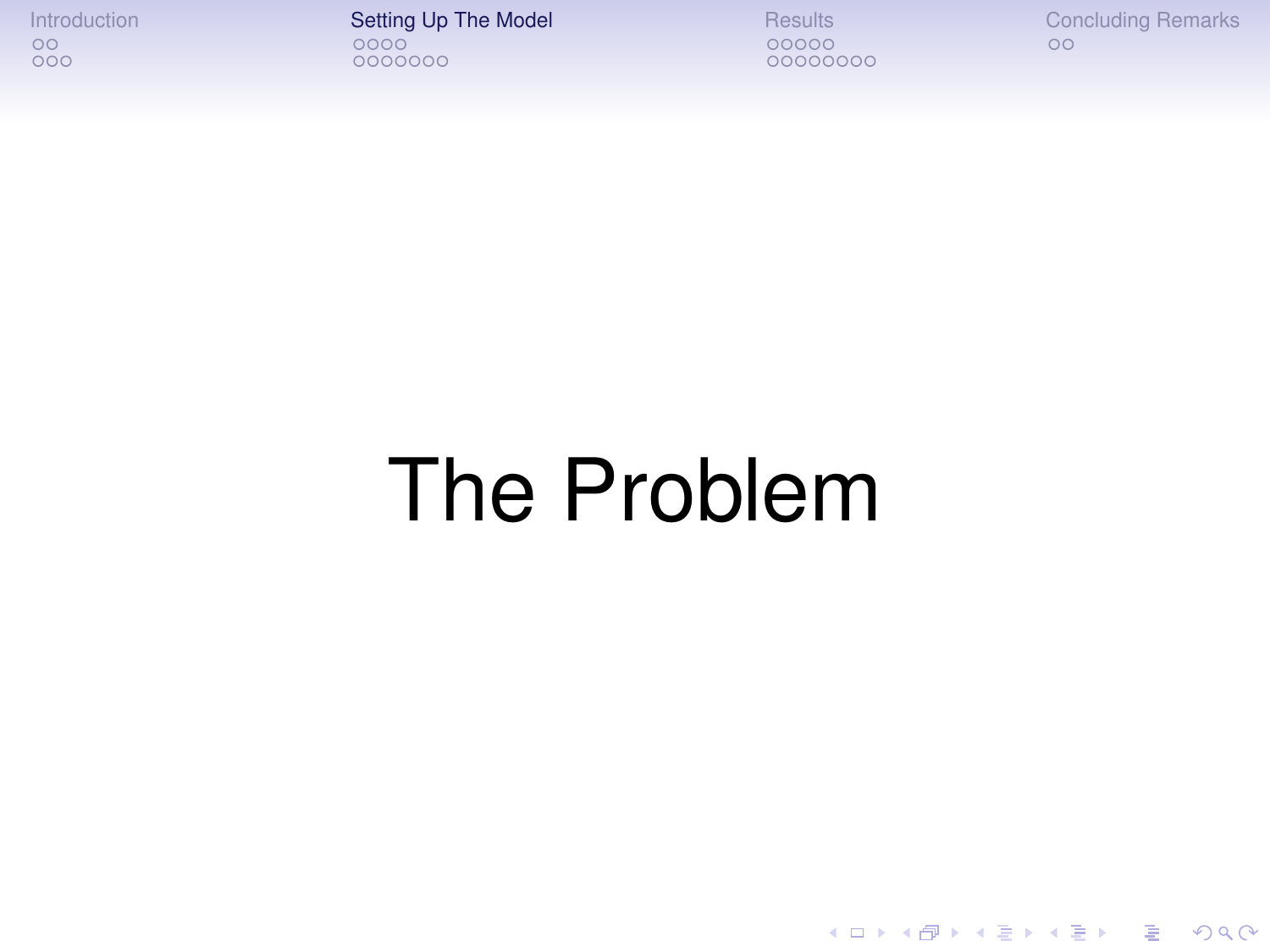[Introduction](#page-1-0) **[Setting Up The Model](#page-6-0)** [Results](#page-18-0) [Concluding Remarks](#page-31-0)<br>  $\begin{array}{ccc}\n0 & 0 & 0 \\
0 & 0 & 0\n\end{array}$ 0000000

00000000

K ロ > K 個 > K 差 > K 差 > → 差 → の Q Q →

# <span id="page-6-0"></span>The Problem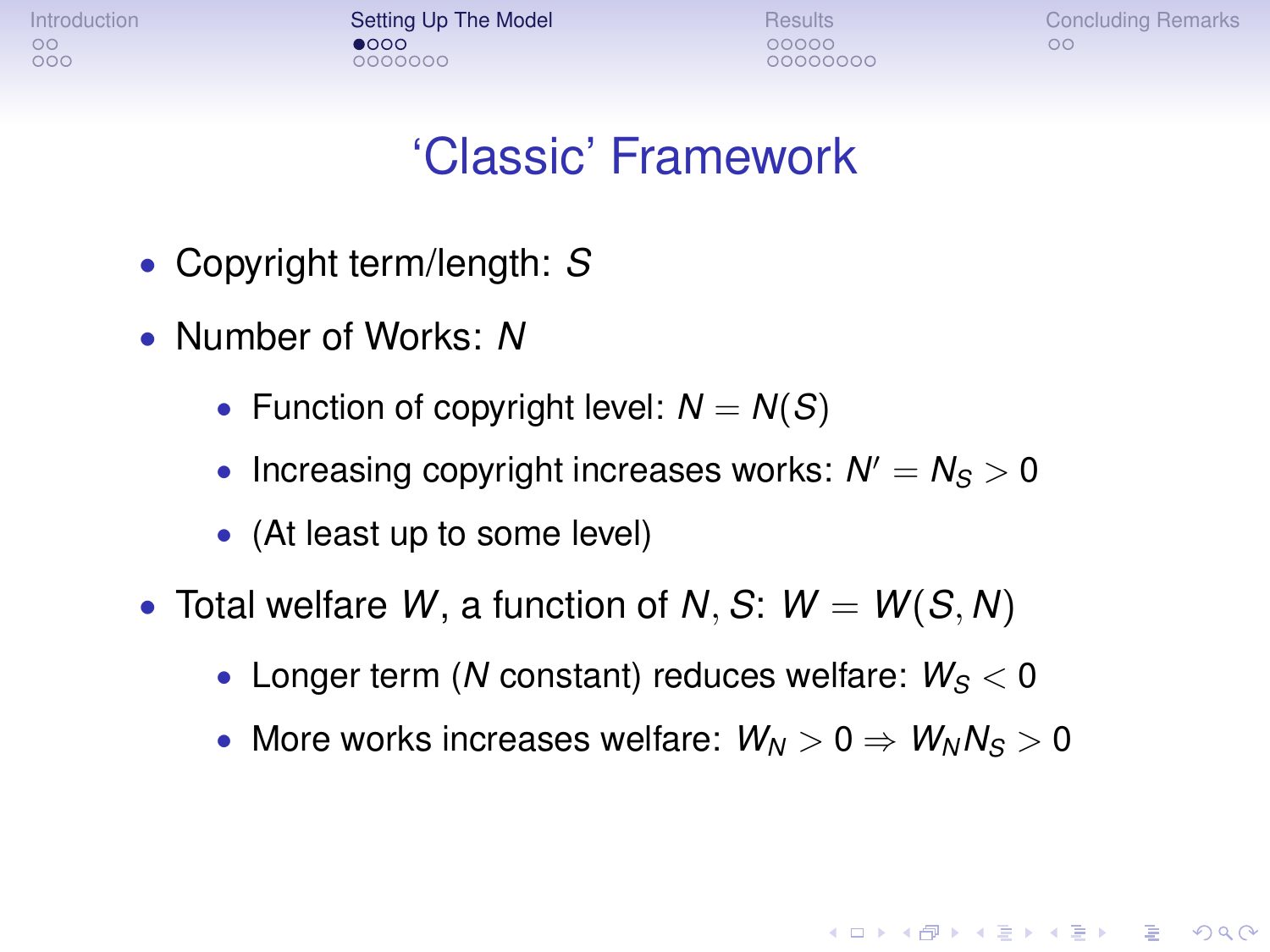[Introduction](#page-1-0) **[Setting Up The Model](#page-6-0)** [Results](#page-18-0) [Concluding Remarks](#page-31-0)<br>
occurred Concluding Remarks<br> **OCOO** CO  $0000000$ 

00000000

**KOD CONTRACT A BOAR KOD A CO** 

#### 'Classic' Framework

- Copyright term/length: *S*
- Number of Works: *N*
	- Function of copyright level:  $N = N(S)$
	- Increasing copyright increases works:  $N' = N_S > 0$
	- (At least up to some level)
- Total welfare  $W$ , a function of  $N$ ,  $S$ :  $W = W(S, N)$ 
	- Longer term (*N* constant) reduces welfare:  $W_S < 0$
	- More works increases welfare:  $W_N > 0 \Rightarrow W_N N_S > 0$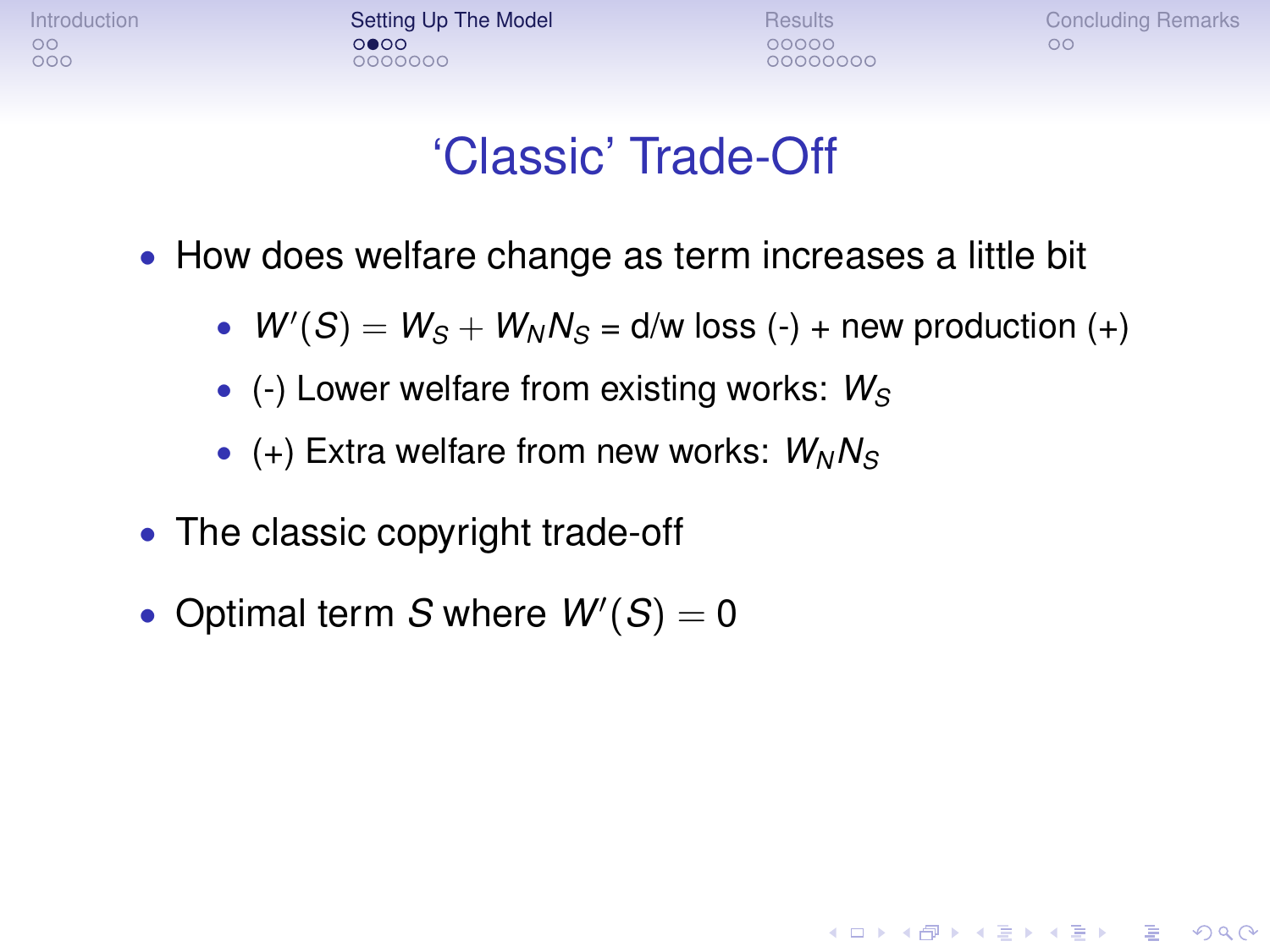[Introduction](#page-1-0) **[Setting Up The Model](#page-6-0)** [Results](#page-18-0) [Concluding Remarks](#page-31-0)<br>
o ooooo oo oo oo oo  $0000000$ 

00000000

**KOD KOD KED KED E VAN** 

#### 'Classic' Trade-Off

- How does welfare change as term increases a little bit
	- $W'(S) = W_S + W_N N_S = d/w \text{ loss } (-) + \text{ new production } (+)$
	- (-) Lower welfare from existing works:  $W_S$
	- (+) Extra welfare from new works:  $W_N N_S$
- The classic copyright trade-off
- Optimal term  $S$  where  $W'(S) = 0$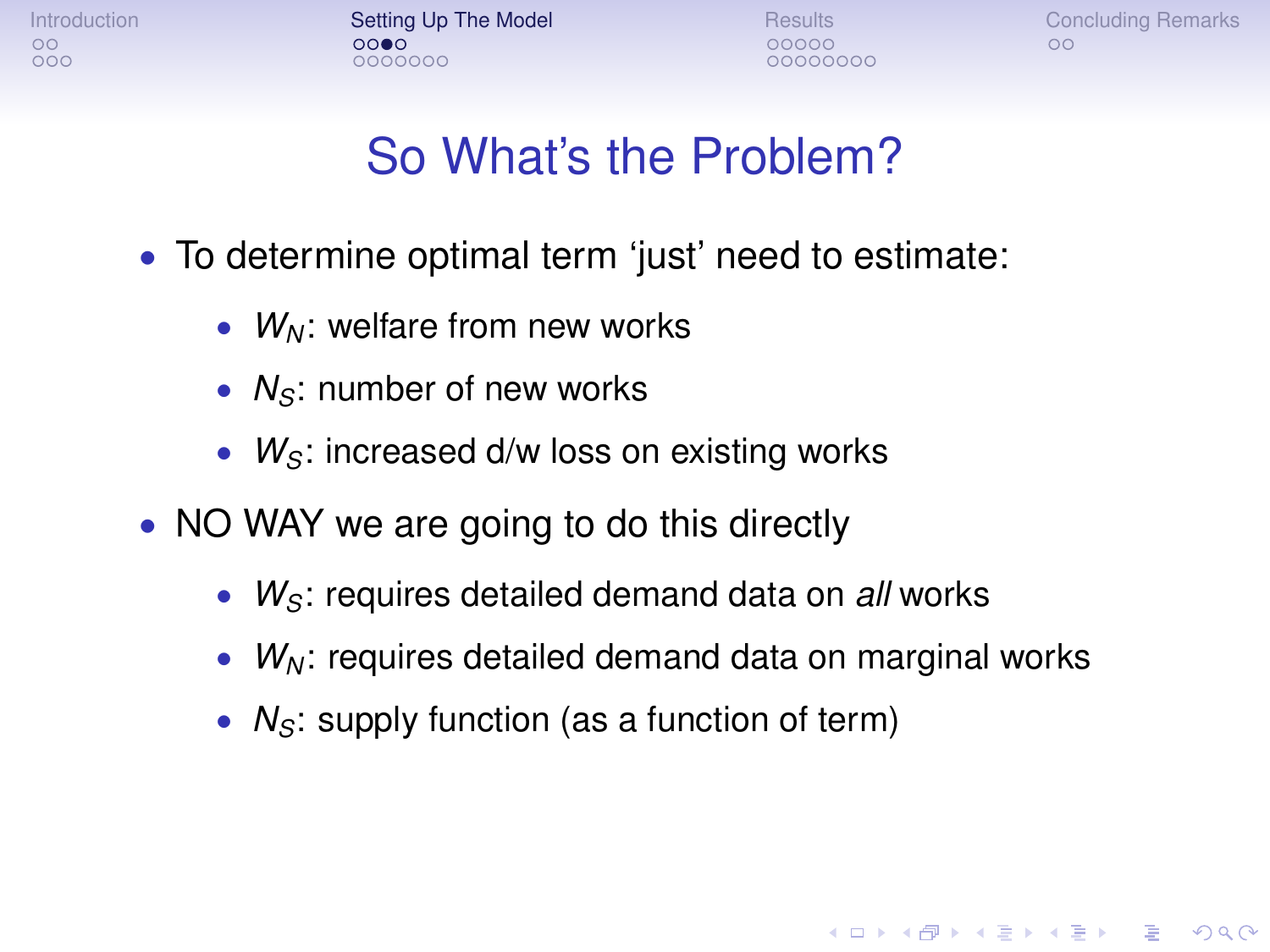[Introduction](#page-1-0) **[Setting Up The Model](#page-6-0)** [Results](#page-18-0) [Concluding Remarks](#page-31-0)<br>
o cooperation concerns concerns Concernsity Concernsity Concernsity Concernsity Concernsity Concernsity Concernsity<br>
O cooperation concernsity Concernsity C  $0000000$ 

00000000

**KOD KORKADD ADD DO YOUR** 

#### So What's the Problem?

- To determine optimal term 'just' need to estimate:
	- *W*<sub>N</sub>: welfare from new works
	- *N<sub>S</sub>*: number of new works
	- *W<sub>S</sub>*: increased d/w loss on existing works
- NO WAY we are going to do this directly
	- *WS*: requires detailed demand data on *all* works
	- *W<sup>N</sup>* : requires detailed demand data on marginal works
	- *N<sub>S</sub>*: supply function (as a function of term)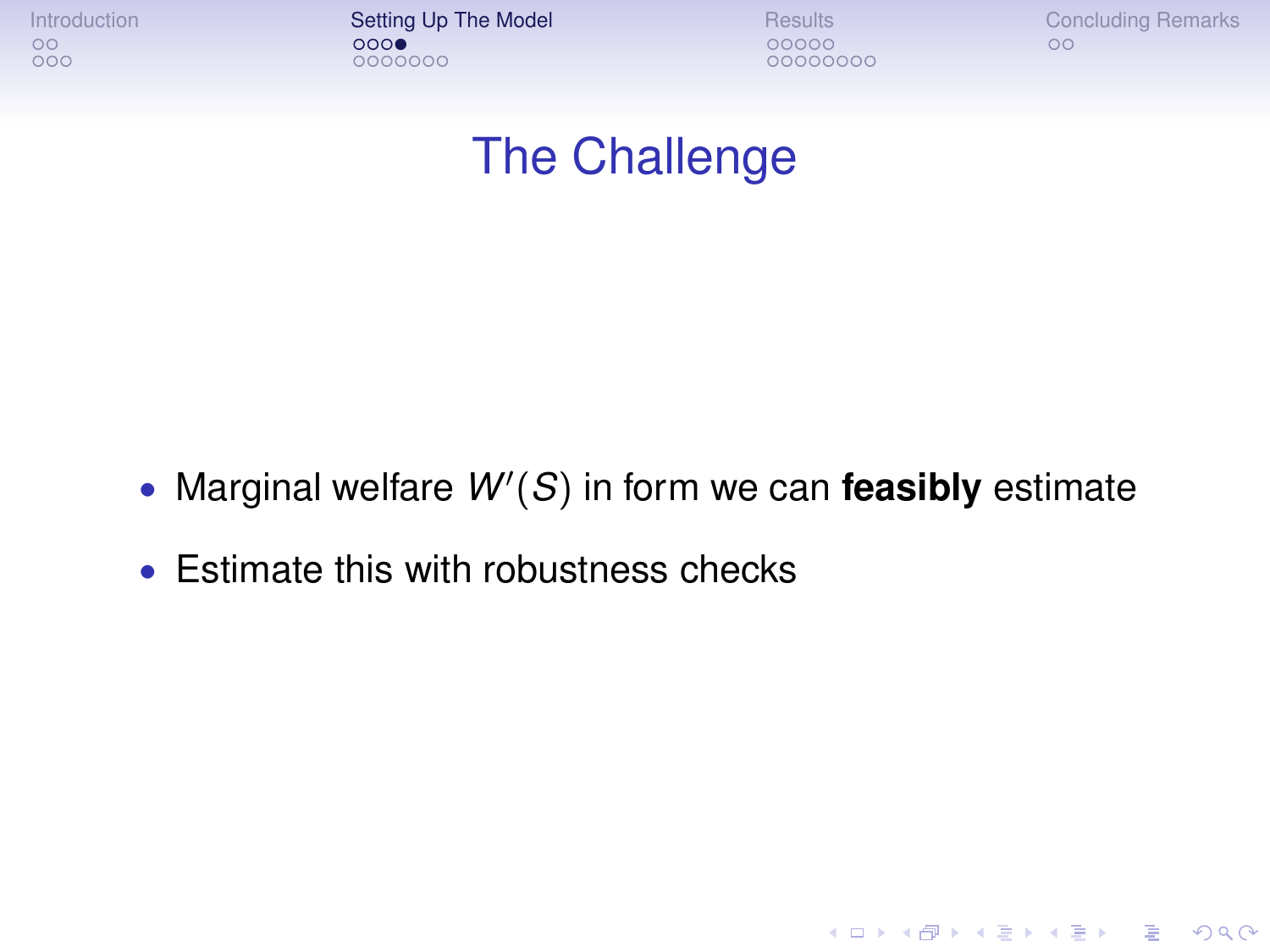[Introduction](#page-1-0) **[Setting Up The Model](#page-6-0)** [Results](#page-18-0) [Concluding Remarks](#page-31-0)<br>
o coore concluding Remarks<br>
o coore concluding Remarks 0000000

00000000

K ロ ▶ K @ ▶ K 할 ▶ K 할 ▶ 이 할 → 9 Q Q →

#### The Challenge

- Marginal welfare  $W'(S)$  in form we can feasibly estimate
- Estimate this with robustness checks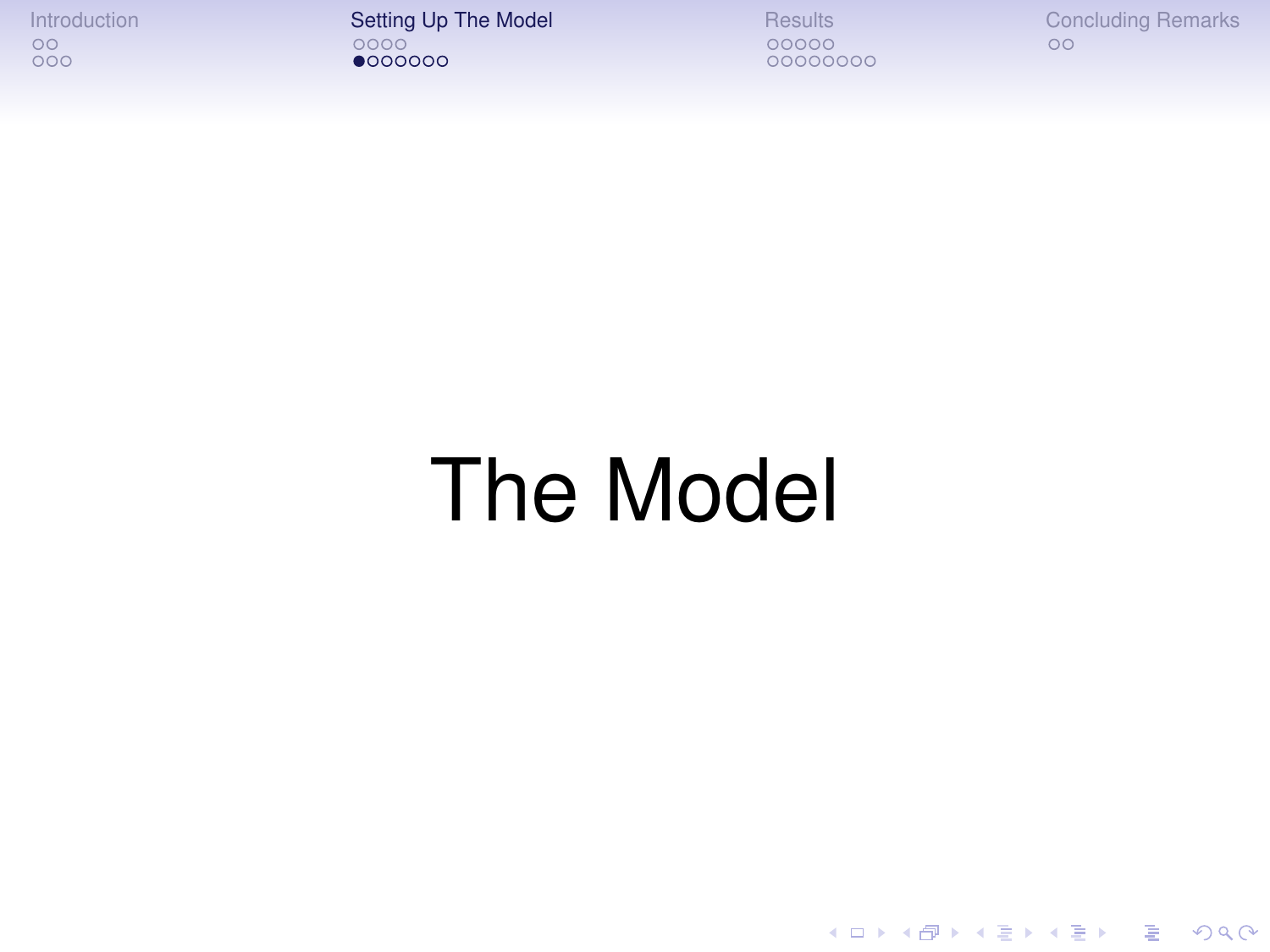[Introduction](#page-1-0) [Setting Up The Model](#page-6-0) [Results](#page-18-0) [Concluding Remarks](#page-31-0)

00000000

K ロ ▶ K 御 ▶ K 聖 ▶ K 聖 ▶ │ 聖 │ 約 9 (9)

# The Model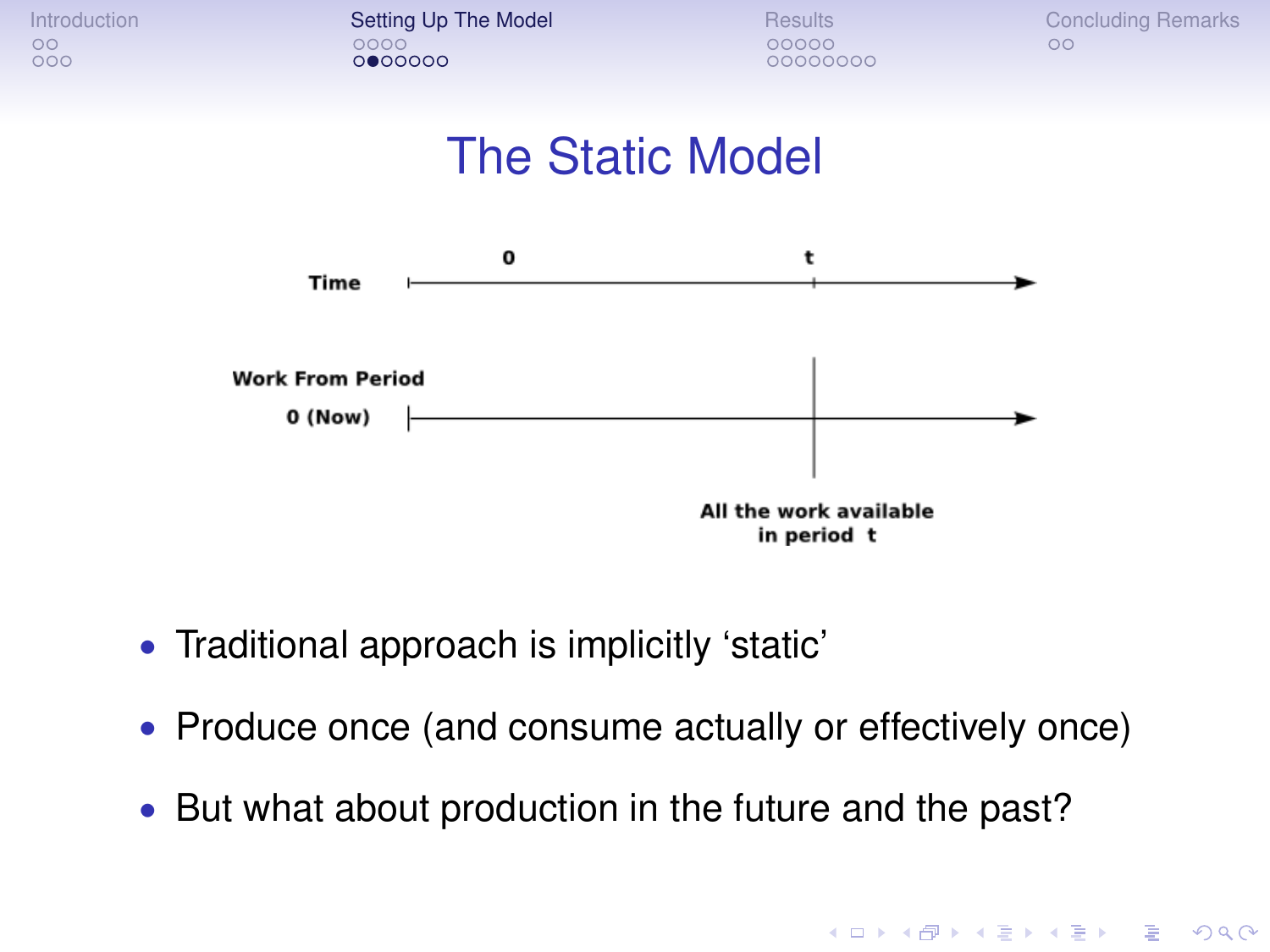

[Introduction](#page-1-0) **[Setting Up The Model](#page-6-0)** [Results](#page-18-0) [Concluding Remarks](#page-31-0)<br>  $\begin{array}{ccc}\n\circ & \circ & \circ & \circ \\
\circ & \circ & \circ & \circ\n\end{array}$  $0000000$ 

00000000

**KOD KARD KED KED BE YOUR** 





- Traditional approach is implicitly 'static'
- Produce once (and consume actually or effectively once)
- But what about production in the future and the past?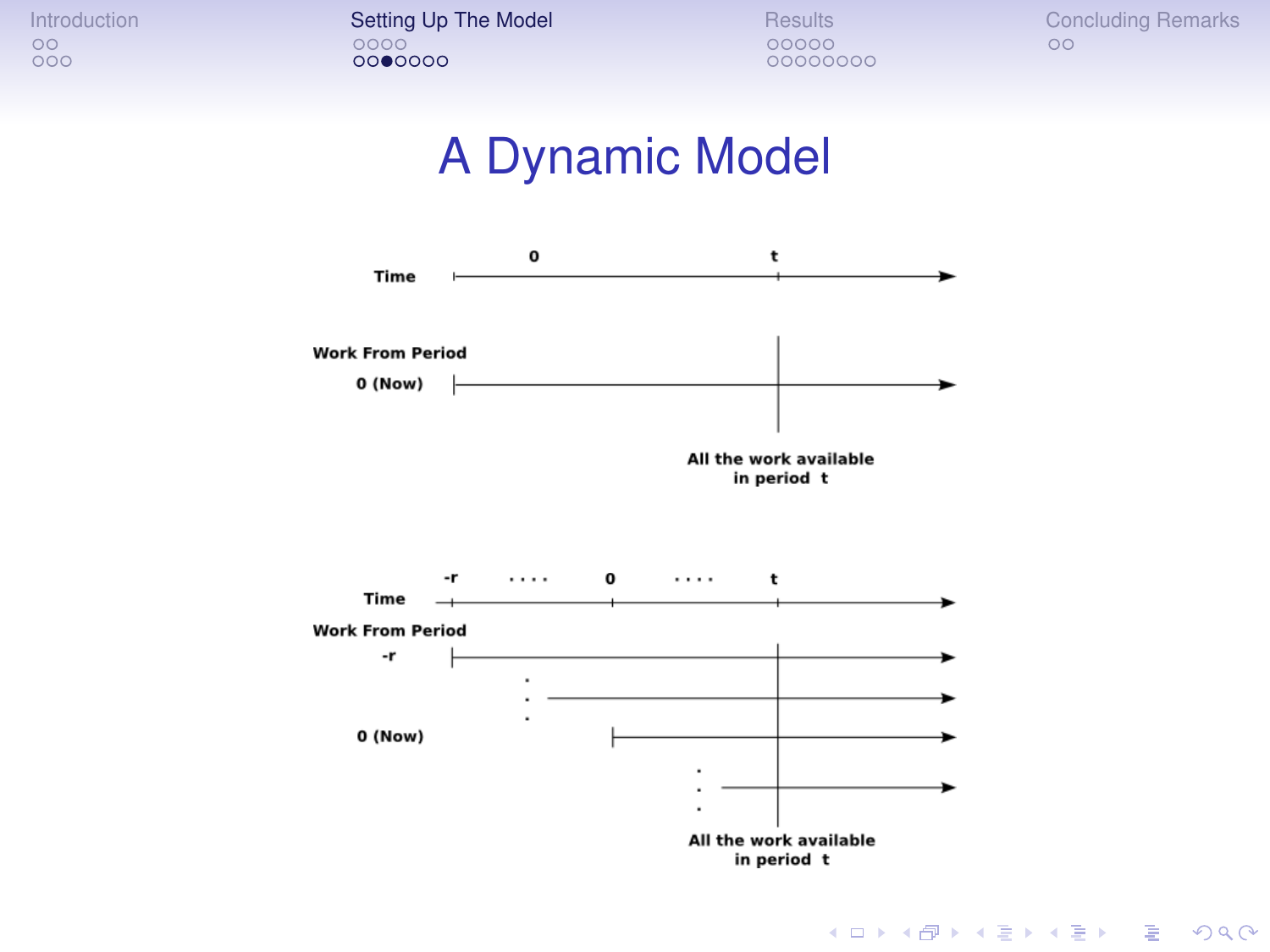[Introduction](#page-1-0) **[Setting Up The Model](#page-6-0)** [Results](#page-18-0) [Concluding Remarks](#page-31-0)<br>  $\begin{array}{ccc}\n\circ & \circ & \circ & \circ \\
\circ & \circ & \circ & \circ\n\end{array}$ 0000000

00000000

#### A Dynamic Model



K ロ ▶ K @ ▶ K 할 ▶ K 할 ▶ 이 할 → 9 Q Q →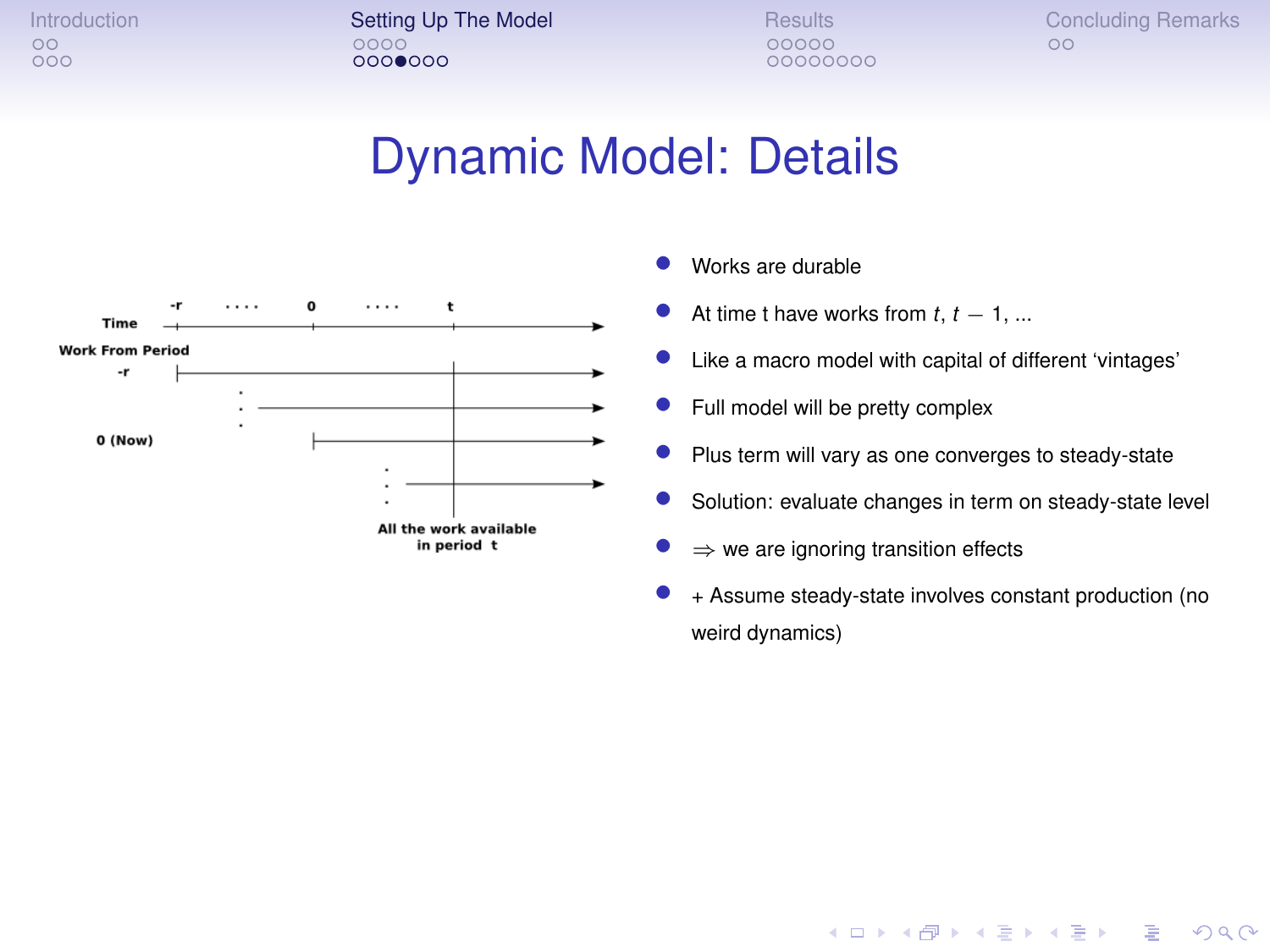[Introduction](#page-1-0) **[Setting Up The Model](#page-6-0)** [Results](#page-18-0) [Concluding Remarks](#page-31-0)<br>  $\begin{array}{ccc}\n\circ & \circ & \circ & \circ \\
\circ & \circ & \circ & \circ\n\end{array}$  $00000000$ 

00000000

#### Dynamic Model: Details



- Works are durable
- At time t have works from  $t, t 1, ...$
- Like a macro model with capital of different 'vintages'
- Full model will be pretty complex
- Plus term will vary as one converges to steady-state
- Solution: evaluate changes in term on steady-state level
- $\Rightarrow$  we are ignoring transition effects
- + Assume steady-state involves constant production (no weird dynamics)

**KOD KORKADD ADD DO YOUR**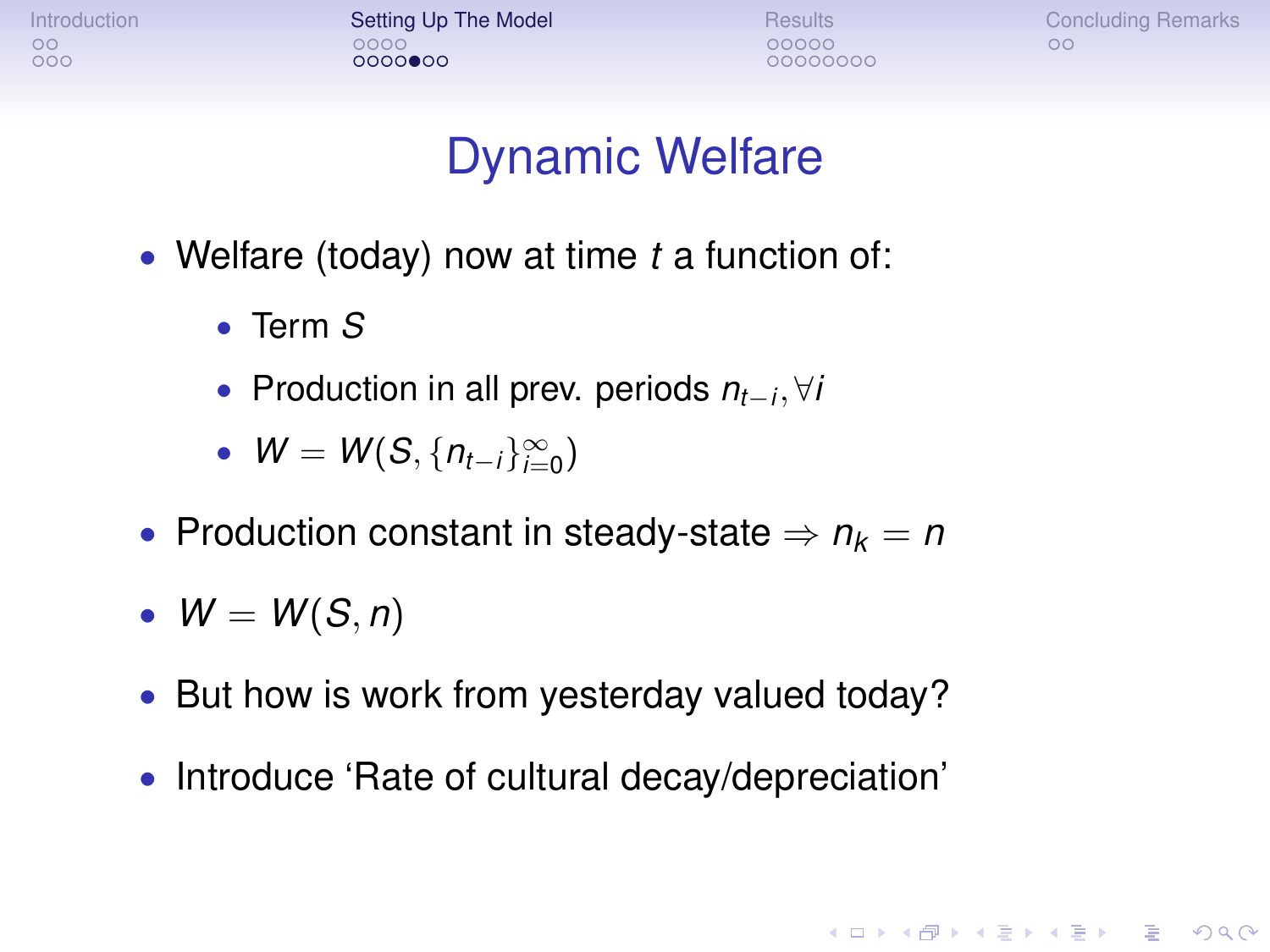[Introduction](#page-1-0) **[Setting Up The Model](#page-6-0)** [Results](#page-18-0) [Concluding Remarks](#page-31-0)<br>  $\begin{array}{ccc}\n0 & 0 & 0 \\
0 & 0 & 0\n\end{array}$  $00000000$ 

00000000

**KORKARA KERKER DAGA** 

#### Dynamic Welfare

- Welfare (today) now at time *t* a function of:
	- Term *S*
	- Production in all prev. periods *nt*−*<sup>i</sup>* , ∀*i*
	- $W = W(S, \{n_{t-i}\}_{i=0}^{\infty})$
- Production constant in steady-state  $\Rightarrow n_k = n$
- $W = W(S, n)$
- But how is work from yesterday valued today?
- Introduce 'Rate of cultural decay/depreciation'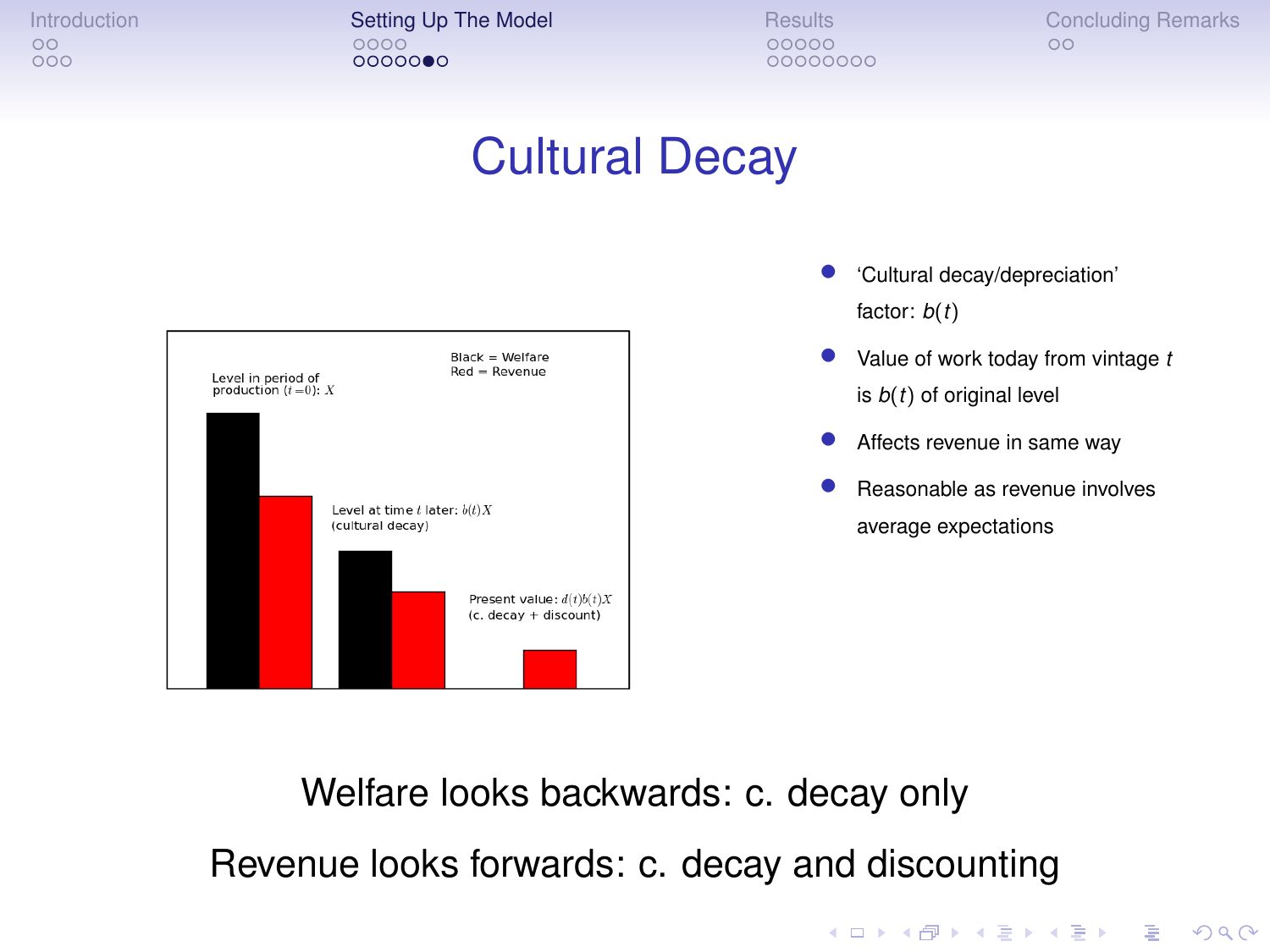[Introduction](#page-1-0) **[Setting Up The Model](#page-6-0)** [Results](#page-18-0) [Concluding Remarks](#page-31-0)<br>  $\begin{array}{ccc}\n\circ & \circ & \circ & \circ \\
\circ & \circ & \circ & \circ\n\end{array}$  $00000000$ 

00000000

#### Cultural Decay



- 'Cultural decay/depreciation' factor: *b*(*t*)
- Value of work today from vintage *<sup>t</sup>* is *b*(*t*) of original level
- Affects revenue in same way
- Reasonable as revenue involves average expectations

**KOD KORKADD ADD DO YOUR** 

Welfare looks backwards: c. decay only Revenue looks forwards: c. decay and discounting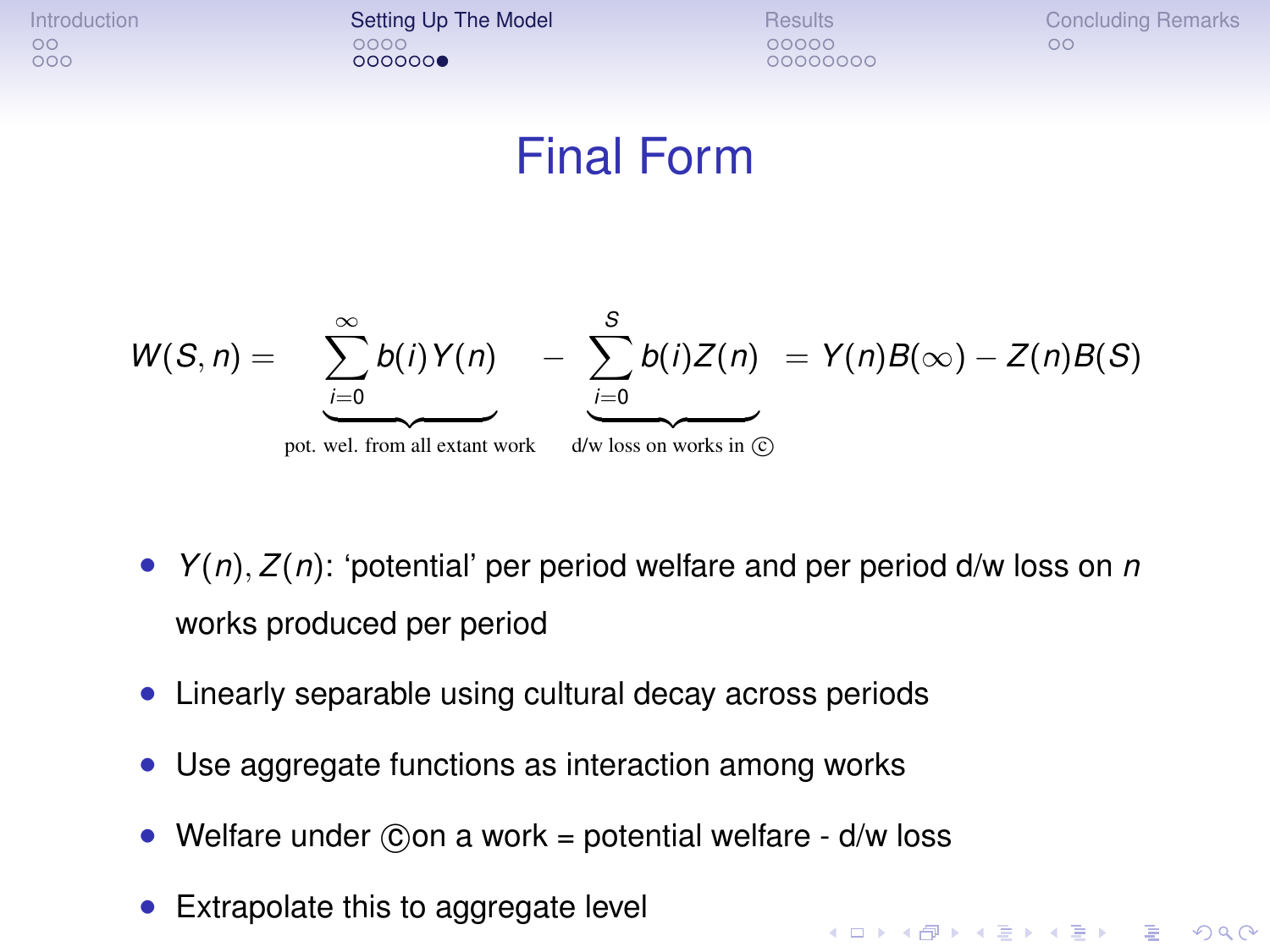[Introduction](#page-1-0) **[Setting Up The Model](#page-6-0)** [Results](#page-18-0) [Concluding Remarks](#page-31-0)<br>  $\begin{array}{ccc}\n\circ & \circ & \circ & \circ \\
\circ & \circ & \circ & \circ\n\end{array}$  $000000$ 

00000000

**KORKARYKERKE PORCH** 

#### Final Form



- *Y*(*n*), *Z*(*n*): 'potential' per period welfare and per period d/w loss on *n* works produced per period
- Linearly separable using cultural decay across periods
- Use aggregate functions as interaction among works
- Welfare under  $\hat{c}$  on a work = potential welfare d/w loss
- <span id="page-17-0"></span>Extrapolate this to aggregate level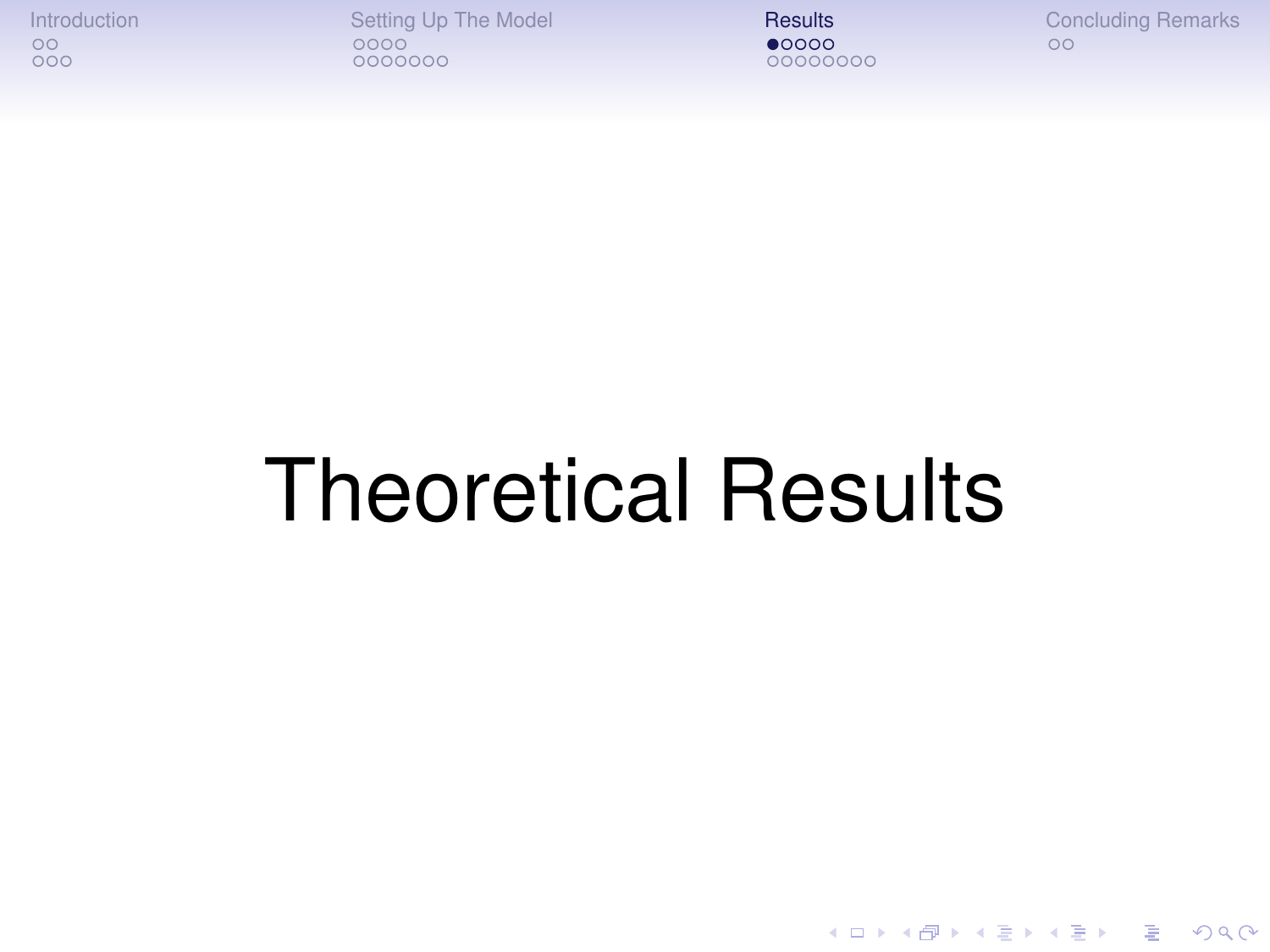[Introduction](#page-1-0) [Setting Up The Model](#page-6-0) **[Results](#page-18-0)** [Concluding Remarks](#page-31-0)<br>  $\begin{array}{ccc}\n 0 & 0 & 0 \\
 0 & 0 & 0\n\end{array}$ 0000000

00000000

K ロ > K 個 > K 差 > K 差 > → 差 → の Q Q →

# <span id="page-18-0"></span>Theoretical Results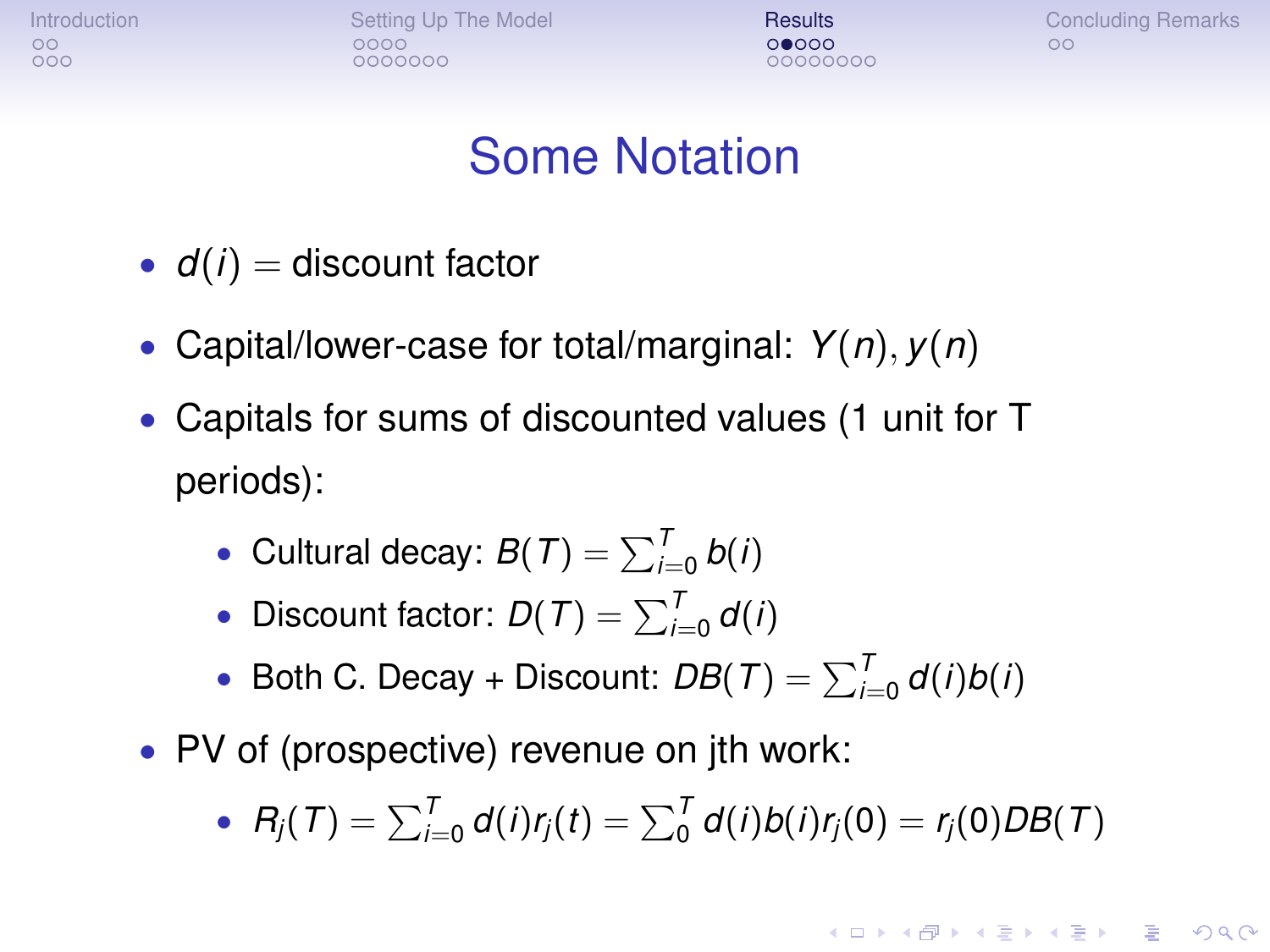[Introduction](#page-1-0) **[Setting Up The Model](#page-6-0) [Results](#page-18-0) [Concluding Remarks](#page-31-0)** Concluding Remarks  $0000000$ 

00000000

**KORK ERKER ADAM ADA** 

#### Some Notation

- $\bullet$   $d(i)$  = discount factor
- Capital/lower-case for total/marginal: *Y*(*n*), *y*(*n*)
- Capitals for sums of discounted values (1 unit for T periods):
	- Cultural decay:  $B(T) = \sum_{i=0}^{T} b(i)$
	- Discount factor:  $D(T) = \sum_{i=0}^{T} d(i)$
	- Both C. Decay + Discount:  $DB(T) = \sum_{i=0}^{T} d(i)b(i)$
- PV of (prospective) revenue on jth work:
	- $R_j(T) = \sum_{i=0}^T d(i) r_j(t) = \sum_0^T d(i) b(i) r_j(0) = r_j(0) DB(T)$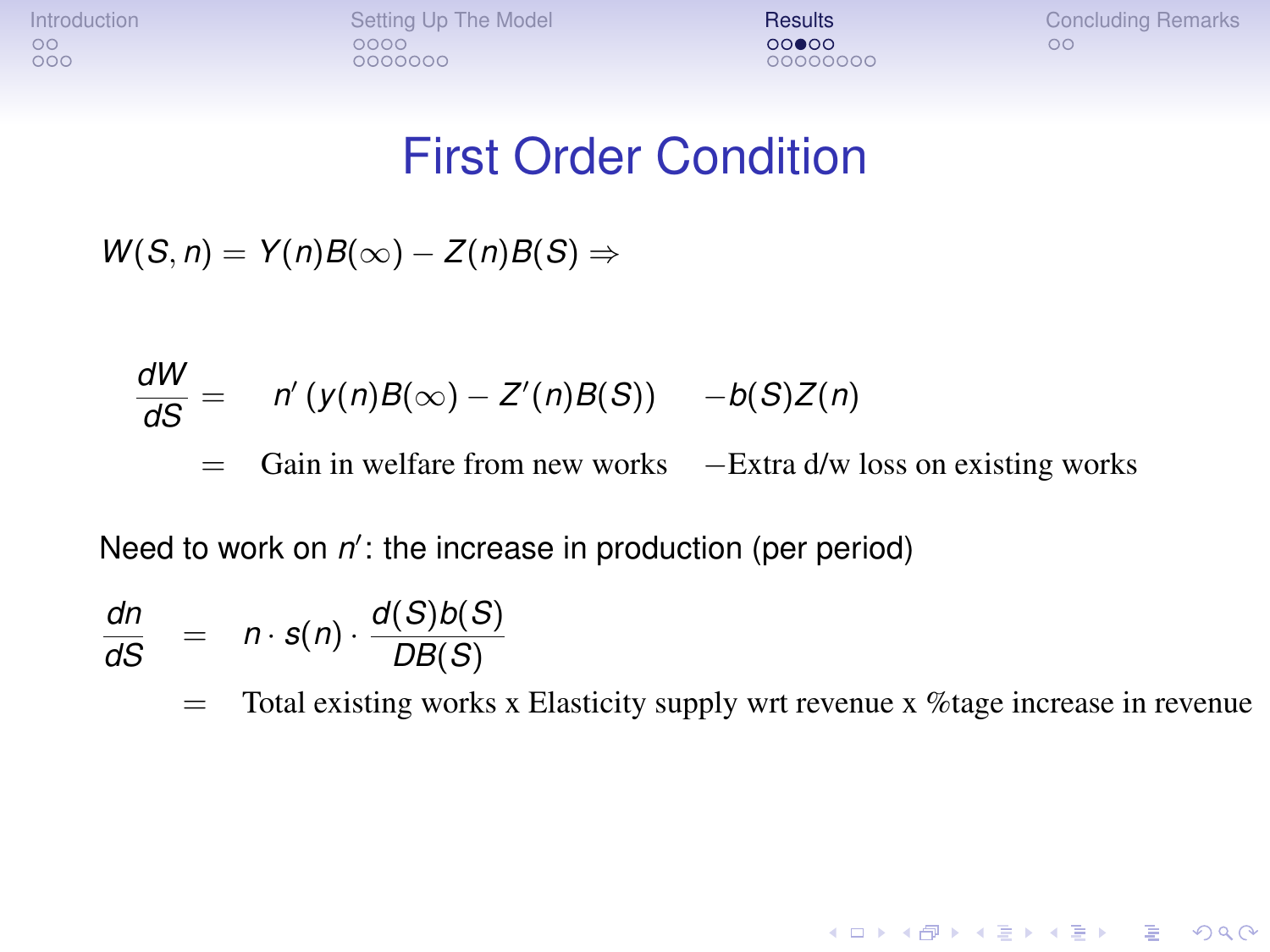[Introduction](#page-1-0) [Setting Up The Model](#page-6-0) [Results](#page-18-0) [Concluding Remarks](#page-31-0)<br>
oo coo coo coo coo coo coo coo co co  $0000000$ 

 $00000000$ 

**KORKARYKERKE PORCH** 

#### First Order Condition

 $W(S, n) = Y(n)B(\infty) - Z(n)B(S) \Rightarrow$ 

$$
\frac{dW}{dS} = n'(y(n)B(\infty) - Z'(n)B(S)) - b(S)Z(n)
$$
  
= Gain in welfare from new works -Extra d/w loss on existing works

Need to work on  $n'$ : the increase in production (per period)

$$
\frac{dn}{dS} = n \cdot s(n) \cdot \frac{d(S)b(S)}{DB(S)}
$$

 $=$  Total existing works x Elasticity supply wrt revenue x %tage increase in revenue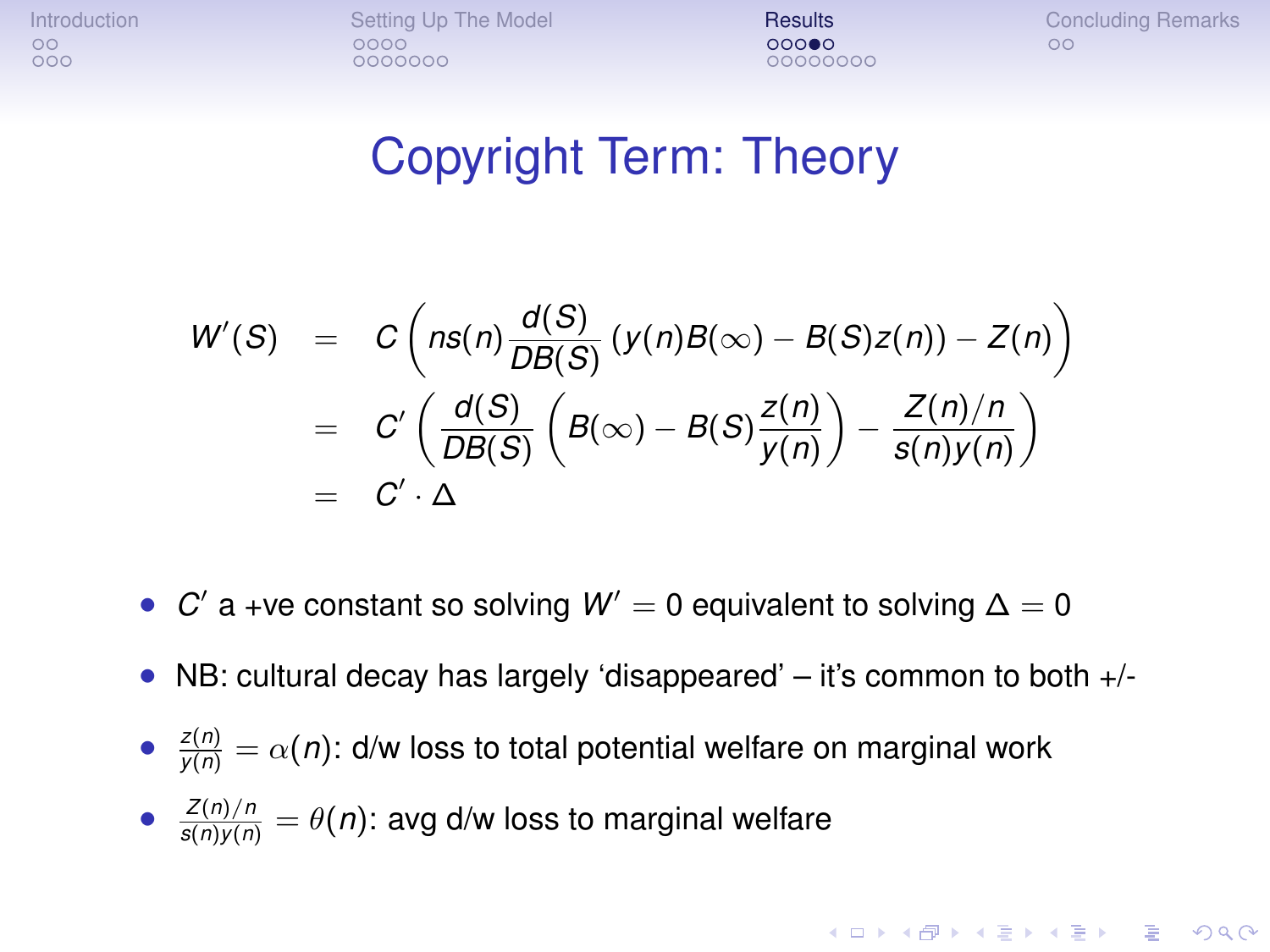[Introduction](#page-1-0) [Setting Up The Model](#page-6-0) [Results](#page-18-0) [Concluding Remarks](#page-31-0)  $0000000$ 

00000000

#### Copyright Term: Theory

$$
W'(S) = C\left(nS(n)\frac{d(S)}{DB(S)}(y(n)B(\infty) - B(S)z(n)) - Z(n)\right)
$$
  
= 
$$
C'\left(\frac{d(S)}{DB(S)}\left(B(\infty) - B(S)\frac{z(n)}{y(n)}\right) - \frac{Z(n)/n}{s(n)y(n)}\right)
$$
  
= 
$$
C'\cdot \Delta
$$

- *C'* a +ve constant so solving *W'* = 0 equivalent to solving Δ = 0
- NB: cultural decay has largely 'disappeared'  $-$  it's common to both  $+/-$
- $\bullet$   $\frac{z(n)}{y(n)} = \alpha(n)$ : d/w loss to total potential welfare on marginal work

• 
$$
\frac{Z(n)/n}{s(n)y(n)} = \theta(n)
$$
: avg d/w loss to marginal welfare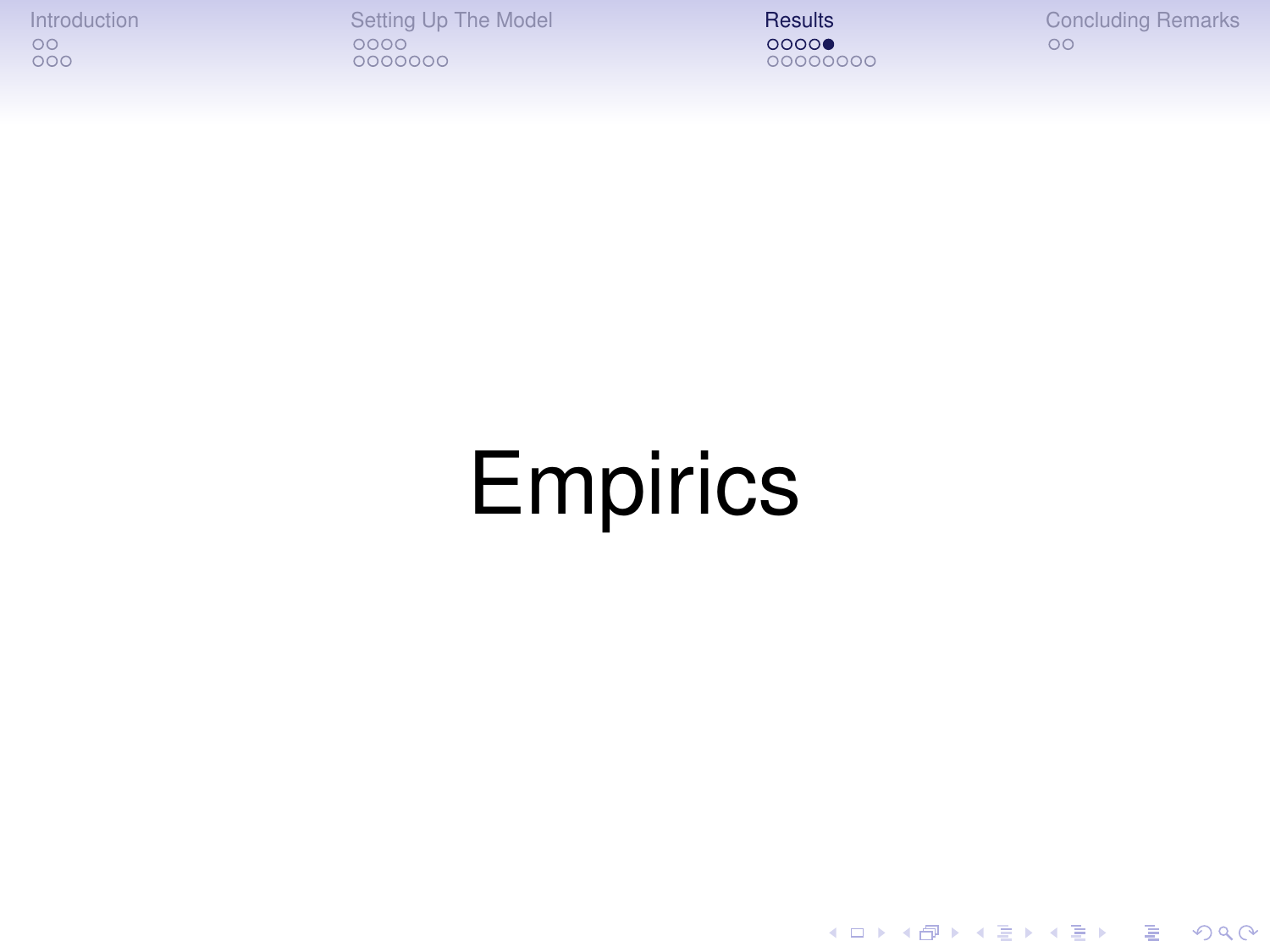[Introduction](#page-1-0) [Setting Up The Model](#page-6-0) [Results](#page-18-0) [Concluding Remarks](#page-31-0)

00000000

K ロ ▶ K @ ▶ K 할 ▶ K 할 ▶ 이 할 → 9 Q Q →

# <span id="page-22-0"></span>**Empirics**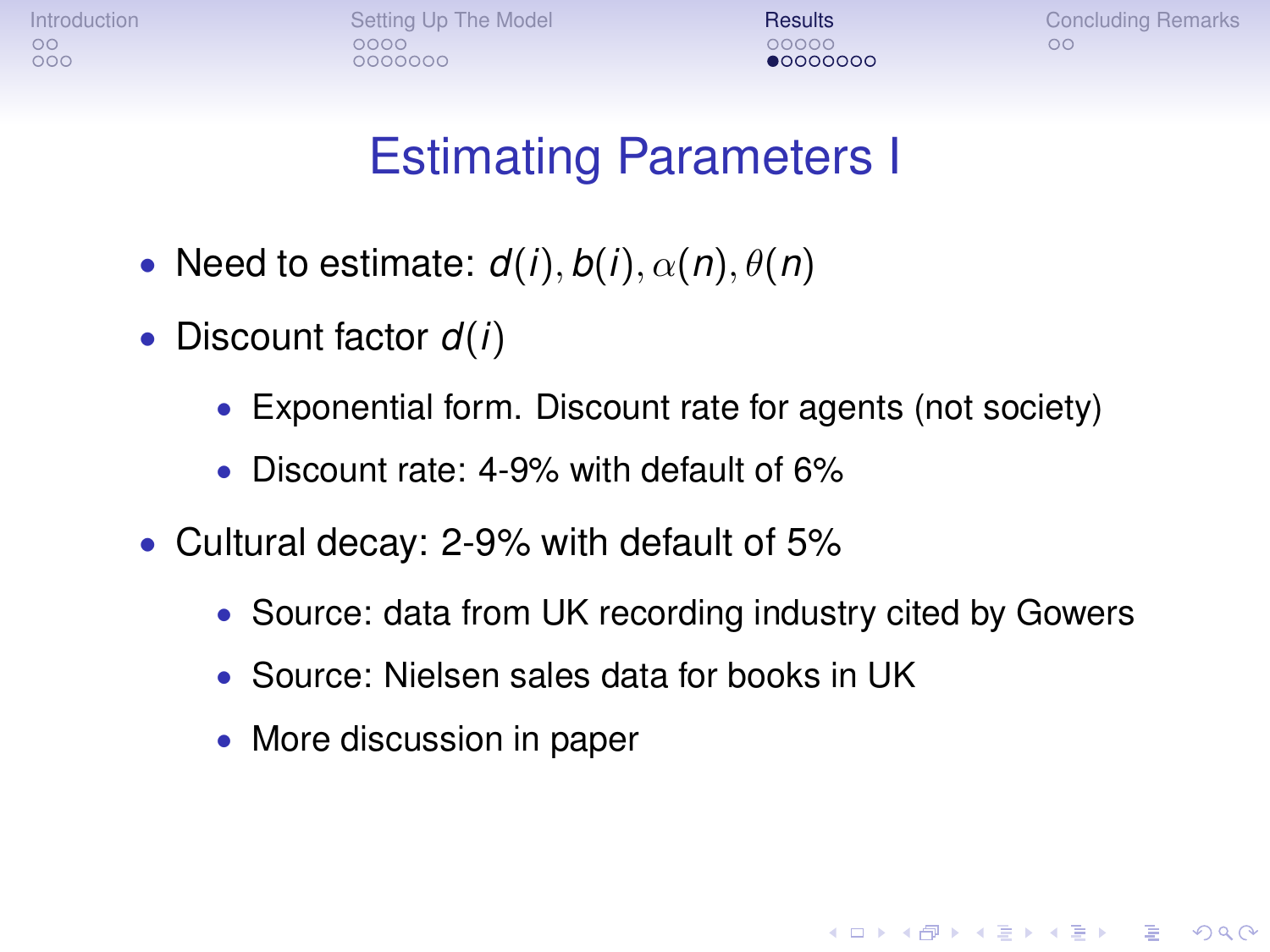[Introduction](#page-1-0) **[Setting Up The Model](#page-6-0) [Results](#page-18-0) [Concluding Remarks](#page-31-0)** Concluding Remarks  $0000000$ 

nnnnr 0000000

**KOD KORKADD ADD DO YOUR** 

#### Estimating Parameters I

- Need to estimate:  $d(i)$ ,  $b(i)$ ,  $\alpha(n)$ ,  $\theta(n)$
- Discount factor *d*(*i*)
	- Exponential form. Discount rate for agents (not society)
	- Discount rate: 4-9% with default of 6%
- <span id="page-23-0"></span>• Cultural decay: 2-9% with default of 5%
	- Source: data from UK recording industry cited by Gowers
	- Source: Nielsen sales data for books in UK
	- More discussion in paper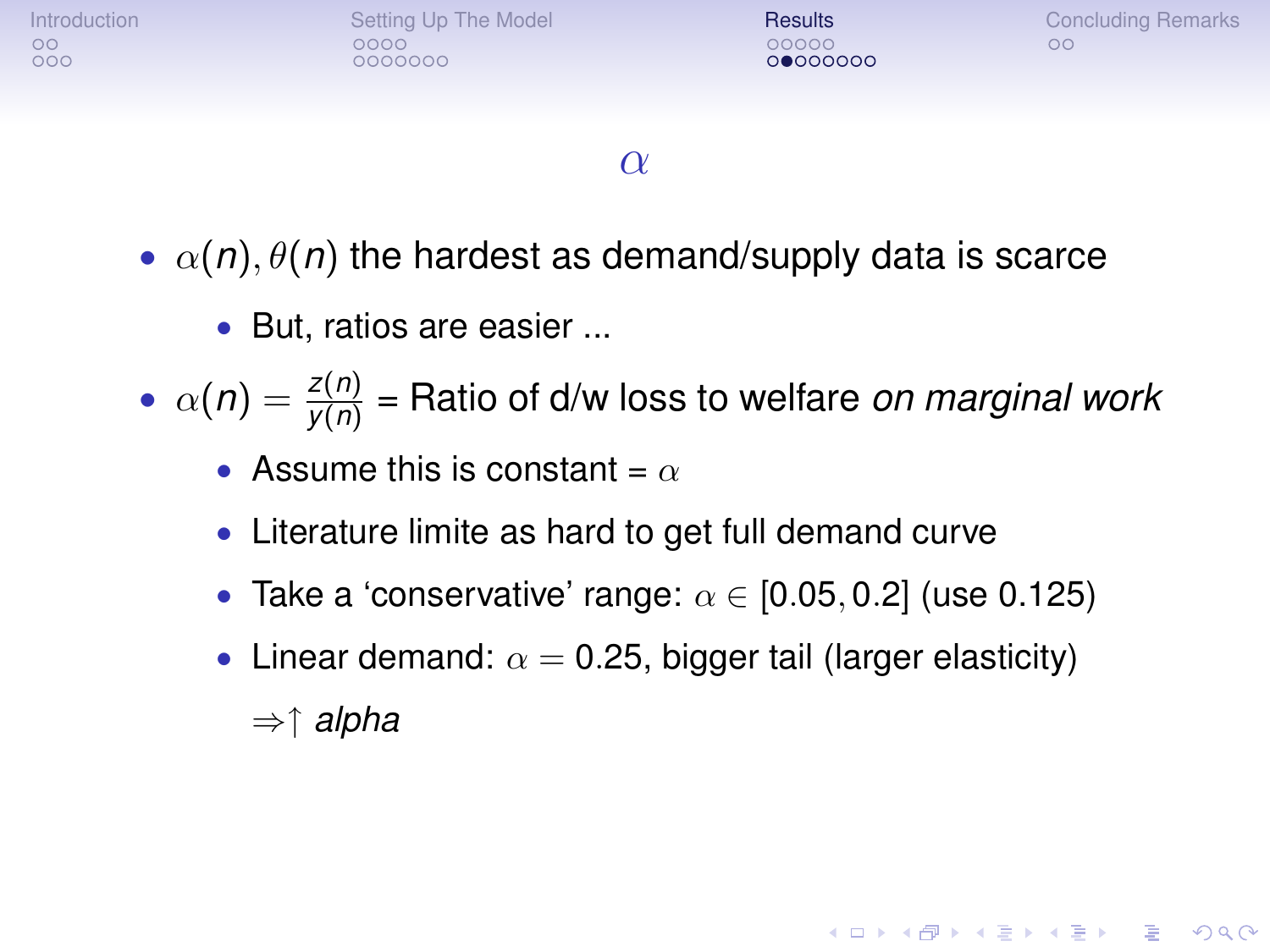

#### $\alpha$

- $\alpha(n)$ ,  $\theta(n)$  the hardest as demand/supply data is scarce
	- But, ratios are easier ...
- $\alpha(n) = \frac{z(n)}{y(n)}$  = Ratio of d/w loss to welfare *on marginal work* 
	- Assume this is constant =  $\alpha$
	- Literature limite as hard to get full demand curve
	- Take a 'conservative' range:  $\alpha \in [0.05, 0.2]$  (use 0.125)
	- Linear demand:  $\alpha = 0.25$ , bigger tail (larger elasticity) ⇒↑ *alpha*

**KORK ERKER ADAM ADA**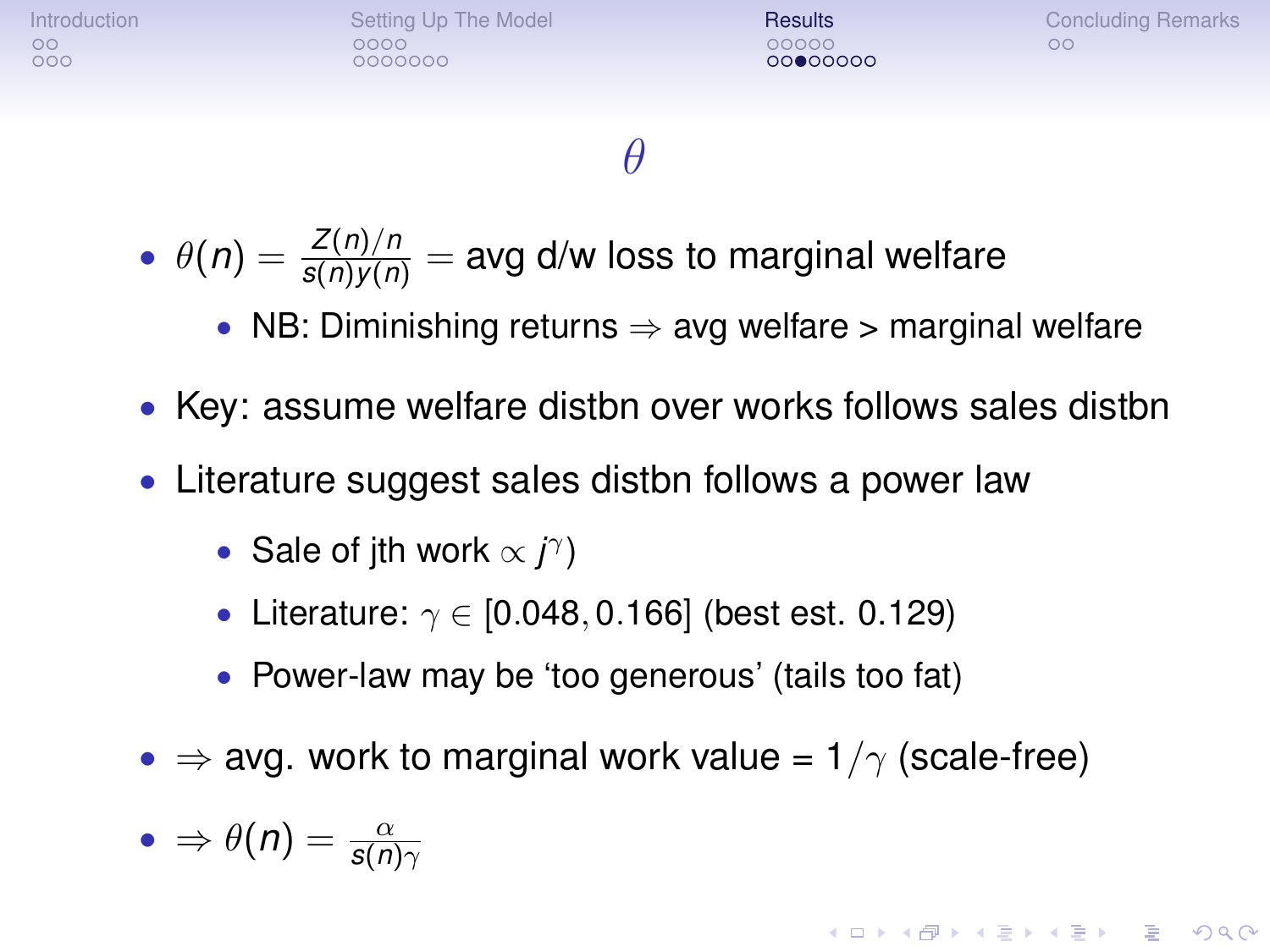| <b>Introduction</b><br>$\circ$<br>000 | Setting Up The Model<br>೧೧೧೧<br>0000000 | <b>Results</b><br>00000<br>00000000 | <b>Concluding Remarks</b><br>oο |
|---------------------------------------|-----------------------------------------|-------------------------------------|---------------------------------|
|                                       |                                         |                                     |                                 |

#### θ

- $\theta(n) = \frac{Z(n)/n}{s(n)y(n)} = \text{avg d/w loss to marginal welfare}$ 
	- NB: Diminishing returns  $\Rightarrow$  avg welfare  $>$  marginal welfare
- Key: assume welfare distbn over works follows sales distbn
- Literature suggest sales distbn follows a power law
	- Sale of jth work  $\propto j^{\gamma}$ )
	- Literature:  $\gamma \in [0.048, 0.166]$  (best est. 0.129)
	- Power-law may be 'too generous' (tails too fat)
- $\Rightarrow$  avg. work to marginal work value =  $1/\gamma$  (scale-free)

KID KA KERKER E VOOR

$$
\bullet \Rightarrow \theta(n) = \frac{\alpha}{s(n)\gamma}
$$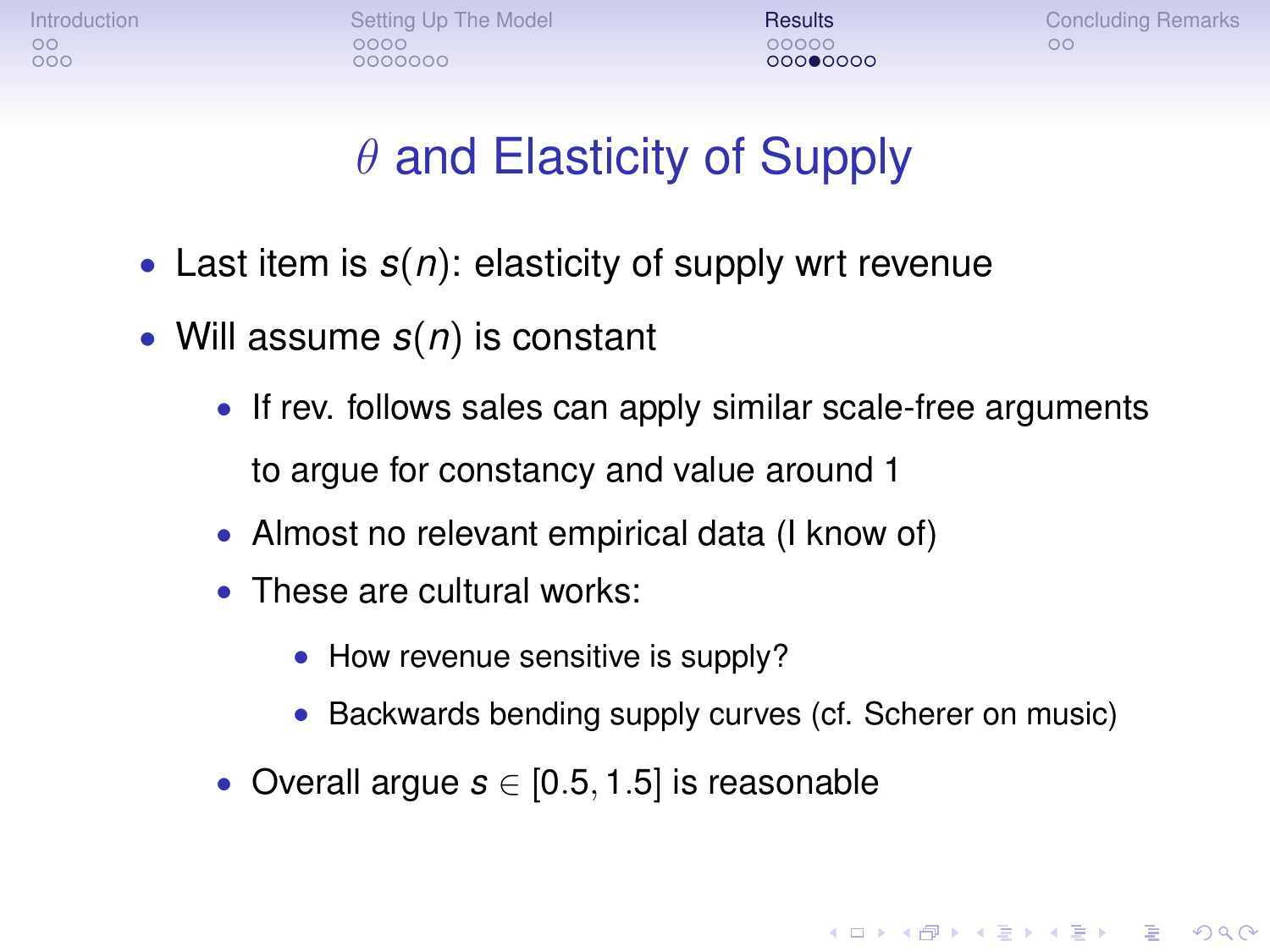nnnnn 00000000

[Introduction](#page-1-0) **[Setting Up The Model](#page-6-0) [Results](#page-18-0) [Concluding Remarks](#page-31-0)** Concluding Remarks

**KOD KOD KED KED E VAN** 

#### $\theta$  and Elasticity of Supply

- Last item is *s*(*n*): elasticity of supply wrt revenue
- Will assume *s*(*n*) is constant
	- If rev. follows sales can apply similar scale-free arguments to argue for constancy and value around 1
	- Almost no relevant empirical data (I know of)
	- These are cultural works:
		- How revenue sensitive is supply?
		- Backwards bending supply curves (cf. Scherer on music)
	- Overall argue *s* ∈ [0.5, 1.5] is reasonable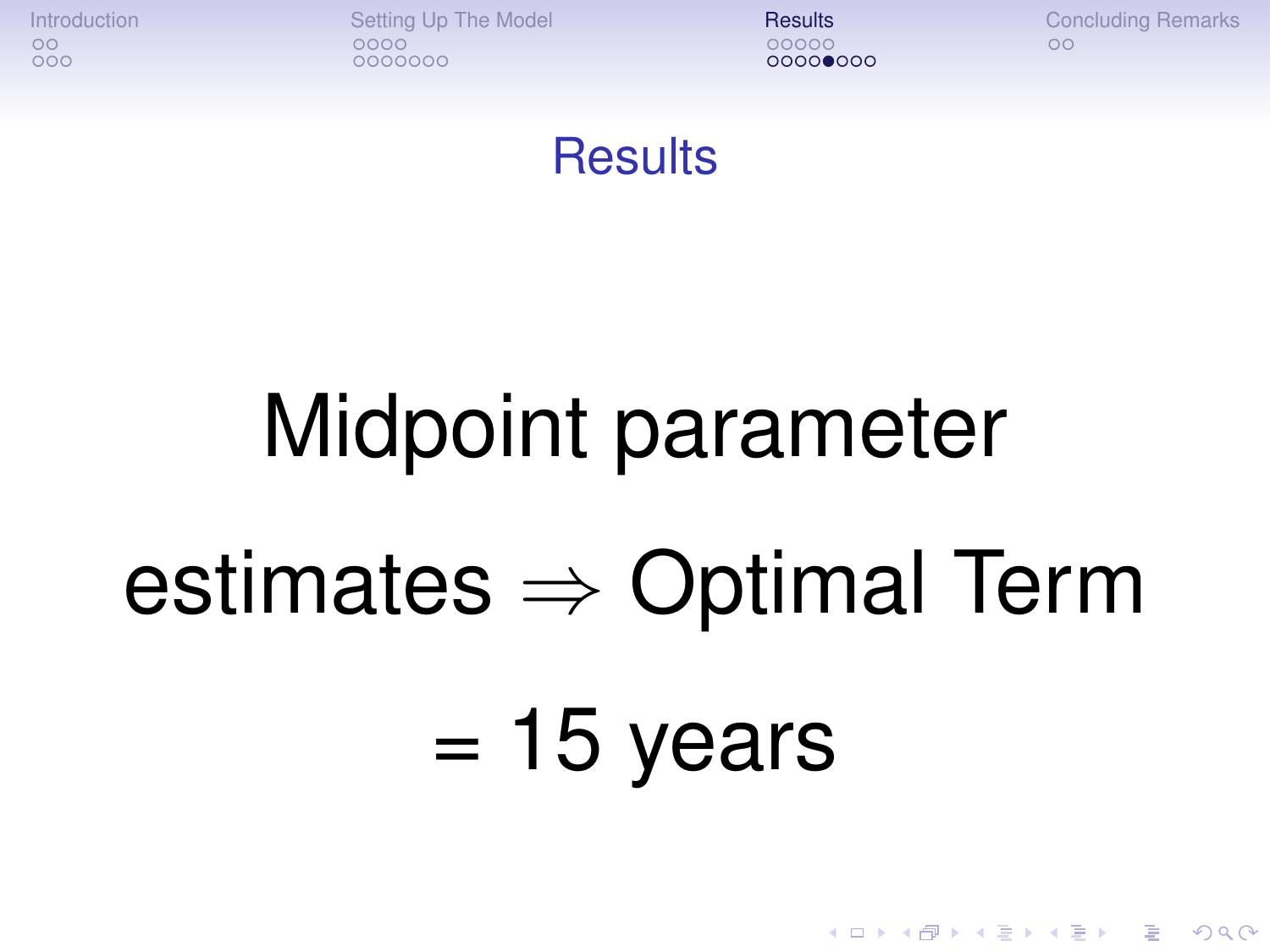[Introduction](#page-1-0) **[Setting Up The Model](#page-6-0) [Results](#page-18-0) [Concluding Remarks](#page-31-0)** Concluding Remarks  $0000000$ 

 $0000$  $000$ 

**KOD KARD KED KED BE YOUR** 

#### **Results**

# Midpoint parameter

### estimates  $\Rightarrow$  Optimal Term

# $= 15$  years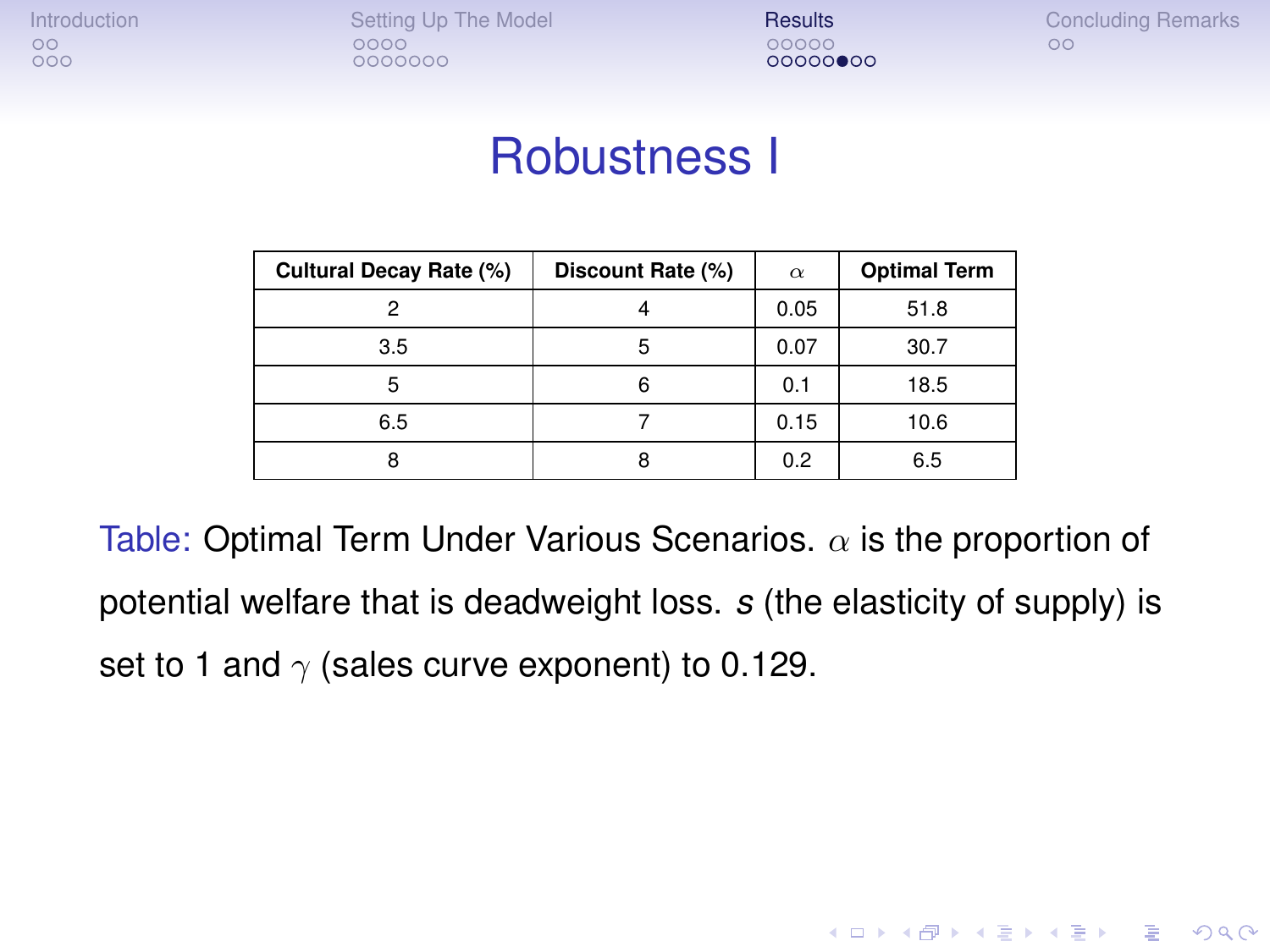[Introduction](#page-1-0) [Setting Up The Model](#page-6-0) [Results](#page-18-0) [Concluding Remarks](#page-31-0)<br>  $\begin{array}{ccc}\n\bullet & \bullet & \bullet & \bullet \\
\bullet & \bullet & \bullet & \bullet & \bullet \\
\bullet & \bullet & \bullet & \bullet & \bullet\n\end{array}$  $0000000$ 

 $000000000$ 

**KOD KORKADD ADD DO YOUR** 

#### Robustness I

| Cultural Decay Rate (%) | Discount Rate (%) | $\alpha$ | <b>Optimal Term</b> |
|-------------------------|-------------------|----------|---------------------|
|                         |                   | 0.05     | 51.8                |
| 3.5                     | ь                 | 0.07     | 30.7                |
| h                       | 6                 | 0.1      | 18.5                |
| 6.5                     |                   | 0.15     | 10.6                |
|                         |                   | 0.2      | 6.5                 |

Table: Optimal Term Under Various Scenarios.  $\alpha$  is the proportion of potential welfare that is deadweight loss. *s* (the elasticity of supply) is set to 1 and  $\gamma$  (sales curve exponent) to 0.129.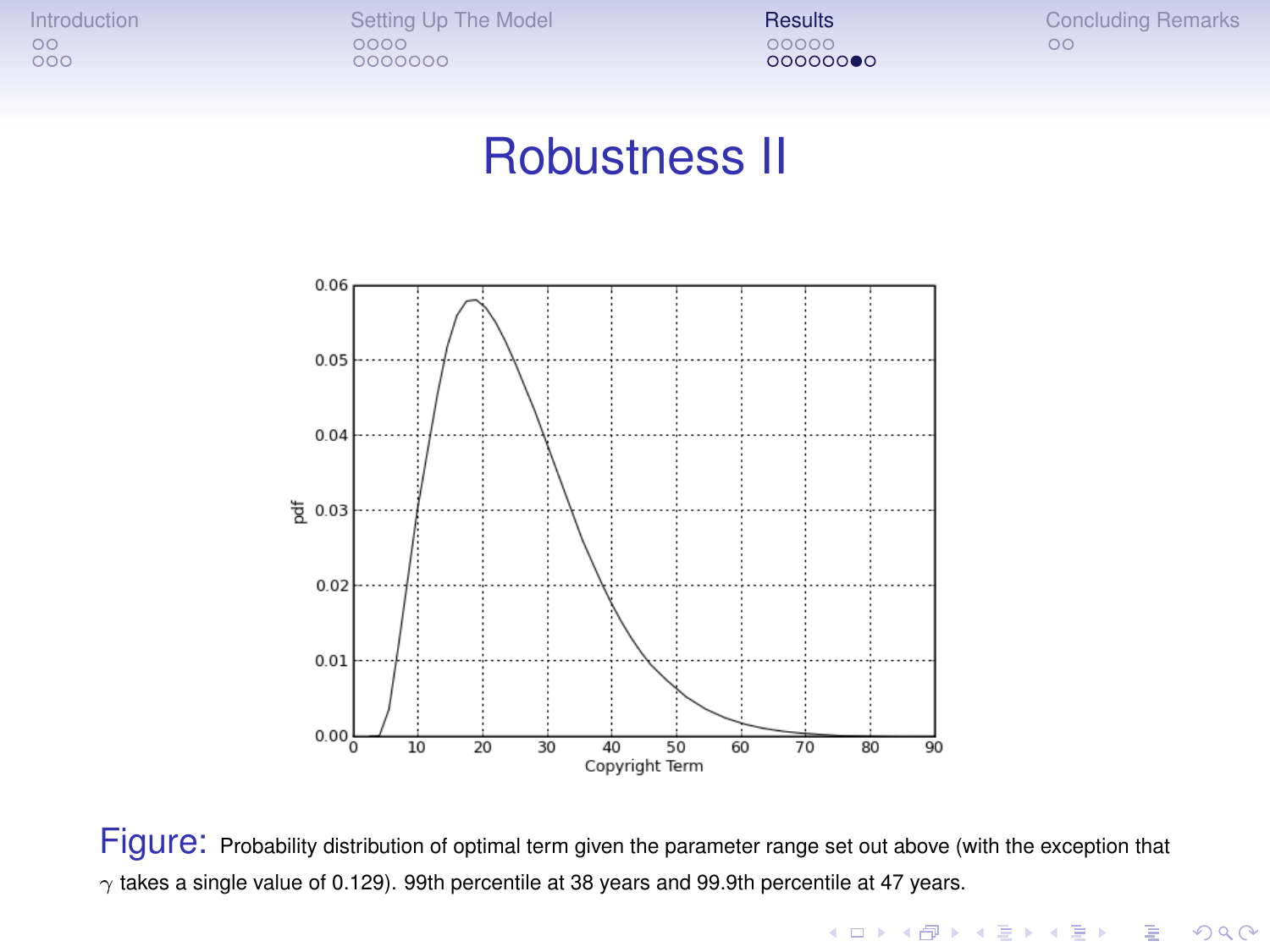[Introduction](#page-1-0) [Setting Up The Model](#page-6-0) **[Results](#page-18-0)** [Concluding Remarks](#page-31-0)<br>  $\begin{array}{ccc}\n\circ & \circ & \circ & \circ \\
\circ & \circ & \circ & \circ\n\end{array}$ 0000000

00000000

#### Robustness II



<span id="page-29-0"></span>Figure: Probability distribution of optimal term given the parameter range set out above (with the exception that  $\gamma$  takes a single value of 0.129). 99th percentile at 38 years and 99.9th percentile at 47 years.

K ロ ▶ K @ ▶ K 할 ▶ K 할 ▶ . 할 . K 9 Q @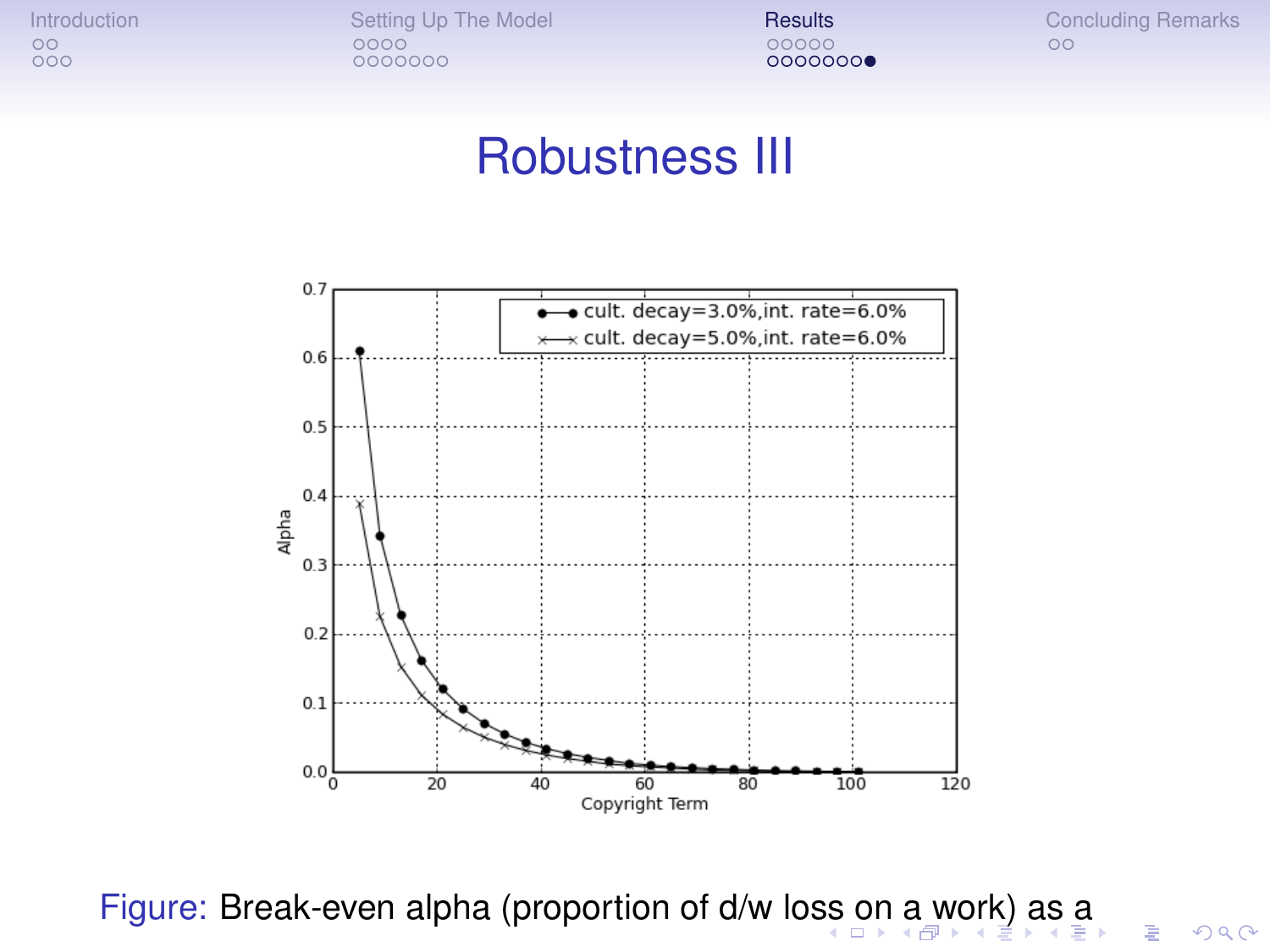[Introduction](#page-1-0) [Setting Up The Model](#page-6-0) **[Results](#page-18-0)** [Concluding Remarks](#page-31-0)<br>  $\begin{array}{ccc}\n\circ & \circ & \circ & \circ \\
\circ & \circ & \circ & \circ\n\end{array}$ 0000000

00000000

 $299$ 

#### Robustness III



<span id="page-30-0"></span>Figure: Break-even alpha (proportion of d/w lo[ss](#page-29-0) [on](#page-31-0) [a](#page-31-0) [w](#page-30-0)[o](#page-31-0)[r](#page-22-0)[k](#page-23-0)[\)](#page-30-0) a[s](#page-17-0)[a](#page-30-0)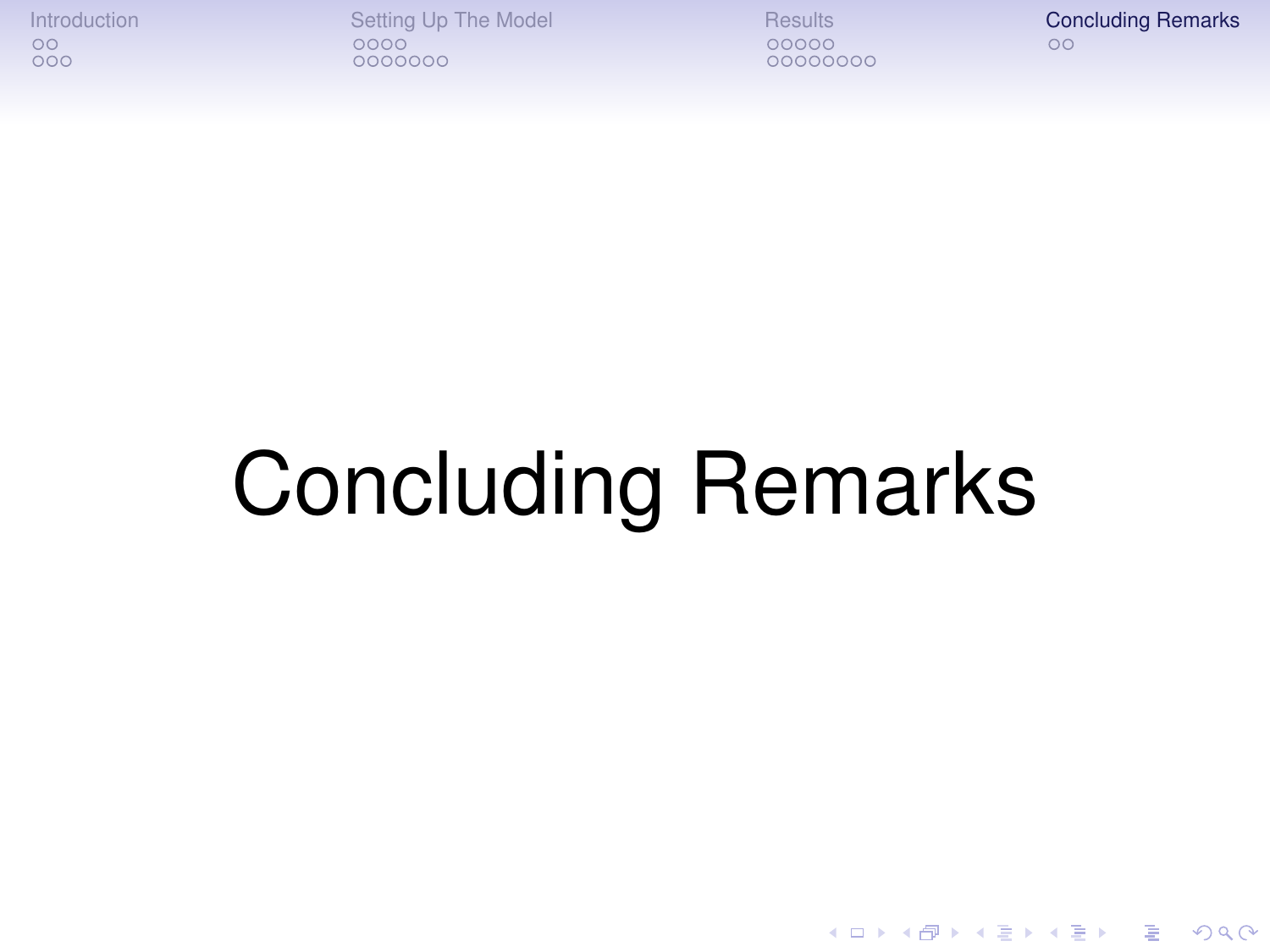[Introduction](#page-1-0) [Setting Up The Model](#page-6-0) [Results](#page-18-0) [Concluding Remarks](#page-31-0)<br>  $\begin{array}{ccc}\n\circ & \circ & \circ & \circ \\
\circ & \circ & \circ & \circ\n\end{array}$ 0000000

00000000

K ロ > K 個 > K 差 > K 差 > → 差 → の Q Q →

# <span id="page-31-0"></span>Concluding Remarks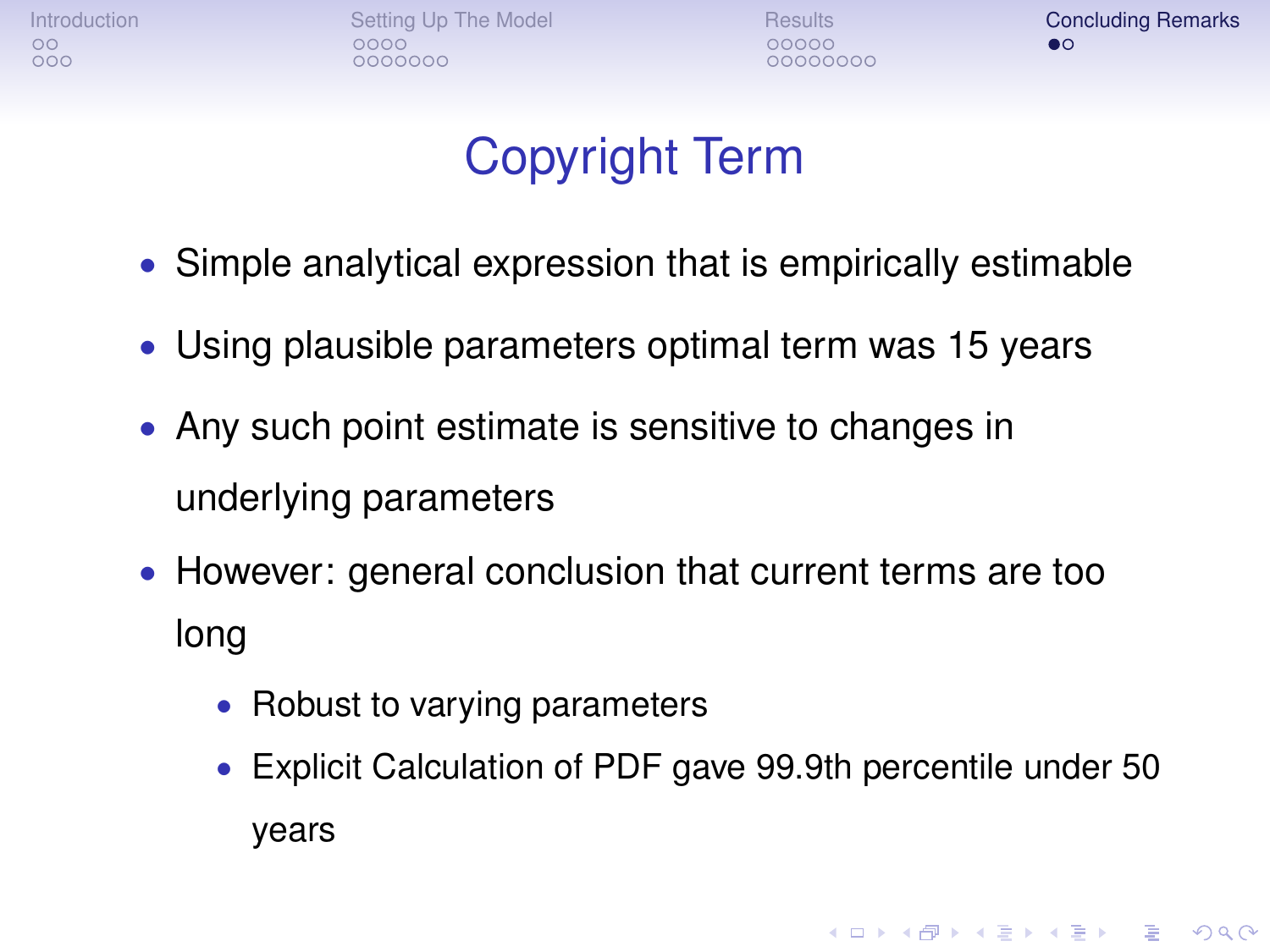[Introduction](#page-1-0) **[Setting Up The Model](#page-6-0) [Results](#page-18-0) [Concluding Remarks](#page-31-0)** Concluding Remarks  $0000000$ 

00000000

**KOD KOD KED KED E VAN** 

#### Copyright Term

- Simple analytical expression that is empirically estimable
- Using plausible parameters optimal term was 15 years
- Any such point estimate is sensitive to changes in underlying parameters
- However: general conclusion that current terms are too long
	- Robust to varying parameters
	- Explicit Calculation of PDF gave 99.9th percentile under 50 years